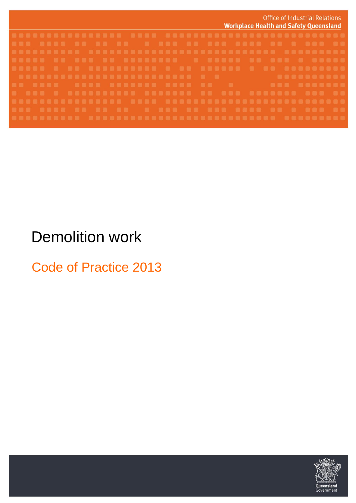| Office of Industrial Relations<br><b>Workplace Health and Safety Queensland</b> |
|---------------------------------------------------------------------------------|
|                                                                                 |
|                                                                                 |
|                                                                                 |
|                                                                                 |
|                                                                                 |
|                                                                                 |
|                                                                                 |
|                                                                                 |
|                                                                                 |
|                                                                                 |
|                                                                                 |

# Demolition work

Code of Practice 2013

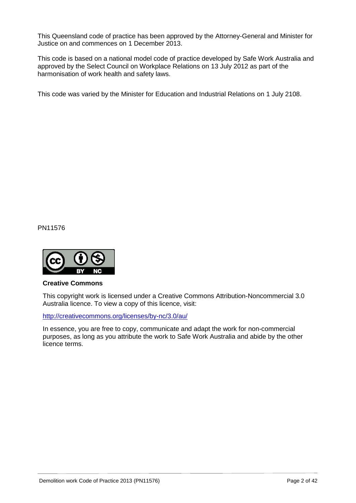This Queensland code of practice has been approved by the Attorney-General and Minister for Justice on and commences on 1 December 2013.

This code is based on a national model code of practice developed by Safe Work Australia and approved by the Select Council on Workplace Relations on 13 July 2012 as part of the harmonisation of work health and safety laws.

This code was varied by the Minister for Education and Industrial Relations on 1 July 2108.

PN11576



#### **Creative Commons**

This copyright work is licensed under a Creative Commons Attribution-Noncommercial 3.0 Australia licence. To view a copy of this licence, visit:

<http://creativecommons.org/licenses/by-nc/3.0/au/>

In essence, you are free to copy, communicate and adapt the work for non-commercial purposes, as long as you attribute the work to Safe Work Australia and abide by the other licence terms.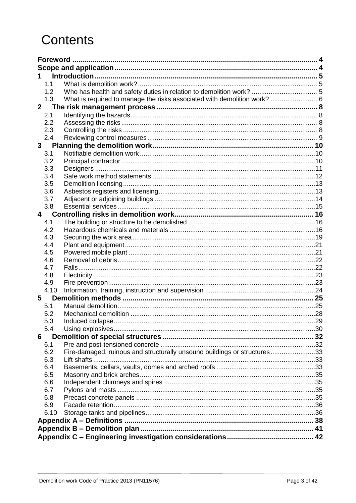# **Contents**

| 1                       |            |                                                                          |  |  |
|-------------------------|------------|--------------------------------------------------------------------------|--|--|
|                         | 1.1        |                                                                          |  |  |
|                         | 1.2        |                                                                          |  |  |
|                         | 1.3        | What is required to manage the risks associated with demolition work?  6 |  |  |
| $2^{\circ}$             |            |                                                                          |  |  |
|                         | 2.1        |                                                                          |  |  |
|                         | 2.2        |                                                                          |  |  |
|                         | 2.3        |                                                                          |  |  |
|                         | 2.4        |                                                                          |  |  |
| 3 <sup>7</sup>          |            |                                                                          |  |  |
|                         | 3.1        |                                                                          |  |  |
|                         | 3.2        |                                                                          |  |  |
|                         | 3.3        |                                                                          |  |  |
|                         | 3.4        |                                                                          |  |  |
|                         | 3.5        |                                                                          |  |  |
|                         | 3.6        |                                                                          |  |  |
|                         | 3.7        |                                                                          |  |  |
|                         | 3.8        |                                                                          |  |  |
| $\overline{\mathbf{4}}$ |            |                                                                          |  |  |
|                         | 4.1        |                                                                          |  |  |
|                         | 4.2        |                                                                          |  |  |
|                         | 4.3        |                                                                          |  |  |
|                         | 4.4        |                                                                          |  |  |
|                         | 4.5        |                                                                          |  |  |
|                         | 4.6        |                                                                          |  |  |
|                         | 4.7        |                                                                          |  |  |
|                         | 4.8        |                                                                          |  |  |
|                         | 4.9        |                                                                          |  |  |
|                         | 4.10       |                                                                          |  |  |
| 5                       |            |                                                                          |  |  |
|                         | 5.1        |                                                                          |  |  |
|                         | 5.2        |                                                                          |  |  |
|                         | 5.3        | Induced collapse                                                         |  |  |
|                         | 5.4        |                                                                          |  |  |
| 6                       |            |                                                                          |  |  |
|                         | 6.1        |                                                                          |  |  |
|                         | 6.2        | Fire-damaged, ruinous and structurally unsound buildings or structures33 |  |  |
|                         | 6.3        |                                                                          |  |  |
|                         |            |                                                                          |  |  |
|                         | 6.4<br>6.5 |                                                                          |  |  |
|                         | 6.6        |                                                                          |  |  |
|                         | 6.7        |                                                                          |  |  |
|                         | 6.8        |                                                                          |  |  |
|                         | 6.9        |                                                                          |  |  |
|                         |            |                                                                          |  |  |
|                         | 6.10       |                                                                          |  |  |
|                         |            |                                                                          |  |  |
|                         |            |                                                                          |  |  |
|                         |            |                                                                          |  |  |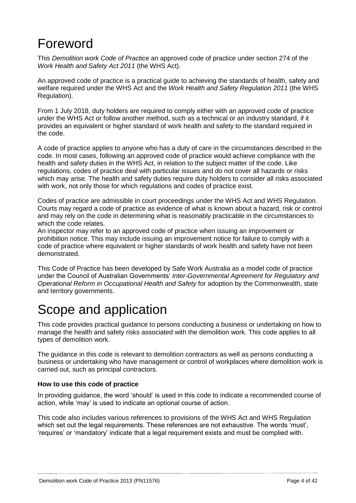## <span id="page-3-0"></span>Foreword

This *Demolition work Code of Practice* an approved code of practice under section 274 of the *Work Health and Safety Act 2011* (the WHS Act).

An approved code of practice is a practical guide to achieving the standards of health, safety and welfare required under the WHS Act and the *Work Health and Safety Regulation 2011* (the WHS Regulation).

From 1 July 2018, duty holders are required to comply either with an approved code of practice under the WHS Act or follow another method, such as a technical or an industry standard, if it provides an equivalent or higher standard of work health and safety to the standard required in the code.

A code of practice applies to anyone who has a duty of care in the circumstances described in the code. In most cases, following an approved code of practice would achieve compliance with the health and safety duties in the WHS Act, in relation to the subject matter of the code. Like regulations, codes of practice deal with particular issues and do not cover all hazards or risks which may arise. The health and safety duties require duty holders to consider all risks associated with work, not only those for which regulations and codes of practice exist.

Codes of practice are admissible in court proceedings under the WHS Act and WHS Regulation. Courts may regard a code of practice as evidence of what is known about a hazard, risk or control and may rely on the code in determining what is reasonably practicable in the circumstances to which the code relates.

An inspector may refer to an approved code of practice when issuing an improvement or prohibition notice. This may include issuing an improvement notice for failure to comply with a code of practice where equivalent or higher standards of work health and safety have not been demonstrated.

This Code of Practice has been developed by Safe Work Australia as a model code of practice under the Council of Australian Governments' *Inter-Governmental Agreement for Regulatory and Operational Reform in Occupational Health and Safety* for adoption by the Commonwealth, state and territory governments.

## <span id="page-3-1"></span>Scope and application

This code provides practical guidance to persons conducting a business or undertaking on how to manage the health and safety risks associated with the demolition work. This code applies to all types of demolition work.

The guidance in this code is relevant to demolition contractors as well as persons conducting a business or undertaking who have management or control of workplaces where demolition work is carried out, such as principal contractors.

### **How to use this code of practice**

In providing guidance, the word 'should' is used in this code to indicate a recommended course of action, while 'may' is used to indicate an optional course of action.

This code also includes various references to provisions of the WHS Act and WHS Regulation which set out the legal requirements. These references are not exhaustive. The words 'must', 'requires' or 'mandatory' indicate that a legal requirement exists and must be complied with.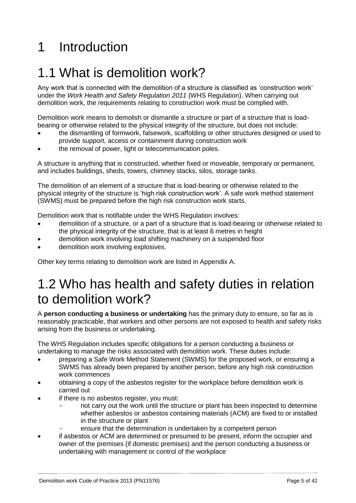# <span id="page-4-0"></span>1 Introduction

### <span id="page-4-1"></span>1.1 What is demolition work?

Any work that is connected with the demolition of a structure is classified as 'construction work' under the *Work Health and Safety Regulation 2011* (WHS Regulation). When carrying out demolition work, the requirements relating to construction work must be complied with.

Demolition work means to demolish or dismantle a structure or part of a structure that is loadbearing or otherwise related to the physical integrity of the structure, but does not include:

- the dismantling of formwork, falsework, scaffolding or other structures designed or used to provide support, access or containment during construction work
- the removal of power, light or telecommunication poles.

A structure is anything that is constructed, whether fixed or moveable, temporary or permanent, and includes buildings, sheds, towers, chimney stacks, silos, storage tanks.

The demolition of an element of a structure that is load-bearing or otherwise related to the physical integrity of the structure is 'high risk construction work'. A safe work method statement (SWMS) must be prepared before the high risk construction work starts.

Demolition work that is notifiable under the WHS Regulation involves:

- demolition of a structure, or a part of a structure that is load-bearing or otherwise related to the physical integrity of the structure, that is at least 6 metres in height
- demolition work involving load shifting machinery on a suspended floor
- demolition work involving explosives.

<span id="page-4-2"></span>Other key terms relating to demolition work are listed in Appendix A.

## 1.2 Who has health and safety duties in relation to demolition work?

A **person conducting a business or undertaking** has the primary duty to ensure, so far as is reasonably practicable, that workers and other persons are not exposed to health and safety risks arising from the business or undertaking.

The WHS Regulation includes specific obligations for a person conducting a business or undertaking to manage the risks associated with demolition work. These duties include:

- preparing a Safe Work Method Statement (SWMS) for the proposed work, or ensuring a SWMS has already been prepared by another person, before any high risk construction work commences
- obtaining a copy of the asbestos register for the workplace before demolition work is carried out
- if there is no asbestos register, you must:
	- not carry out the work until the structure or plant has been inspected to determine whether asbestos or asbestos containing materials (ACM) are fixed to or installed in the structure or plant
		- ensure that the determination is undertaken by a competent person
- if asbestos or ACM are determined or presumed to be present, inform the occupier and owner of the premises (if domestic premises) and the person conducting a business or undertaking with management or control of the workplace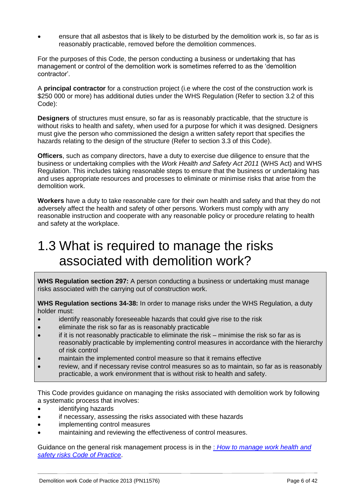ensure that all asbestos that is likely to be disturbed by the demolition work is, so far as is reasonably practicable, removed before the demolition commences.

For the purposes of this Code, the person conducting a business or undertaking that has management or control of the demolition work is sometimes referred to as the 'demolition contractor'.

A **principal contractor** for a construction project (i.e where the cost of the construction work is \$250 000 or more) has additional duties under the WHS Regulation (Refer to section 3.2 of this Code):

**Designers** of structures must ensure, so far as is reasonably practicable, that the structure is without risks to health and safety, when used for a purpose for which it was designed. Designers must give the person who commissioned the design a written safety report that specifies the hazards relating to the design of the structure (Refer to section 3.3 of this Code).

**Officers**, such as company directors, have a duty to exercise due diligence to ensure that the business or undertaking complies with the *Work Health and Safety Act 2011* (WHS Act) and WHS Regulation. This includes taking reasonable steps to ensure that the business or undertaking has and uses appropriate resources and processes to eliminate or minimise risks that arise from the demolition work.

**Workers** have a duty to take reasonable care for their own health and safety and that they do not adversely affect the health and safety of other persons. Workers must comply with any reasonable instruction and cooperate with any reasonable policy or procedure relating to health and safety at the workplace.

### <span id="page-5-0"></span>1.3 What is required to manage the risks associated with demolition work?

**WHS Regulation section 297:** A person conducting a business or undertaking must manage risks associated with the carrying out of construction work.

**WHS Regulation sections 34-38:** In order to manage risks under the WHS Regulation, a duty holder must:

- identify reasonably foreseeable hazards that could give rise to the risk
- eliminate the risk so far as is reasonably practicable
- if it is not reasonably practicable to eliminate the risk minimise the risk so far as is reasonably practicable by implementing control measures in accordance with the hierarchy of risk control
- maintain the implemented control measure so that it remains effective
- review, and if necessary revise control measures so as to maintain, so far as is reasonably practicable, a work environment that is without risk to health and safety.

This Code provides guidance on managing the risks associated with demolition work by following a systematic process that involves:

- identifying hazards
- if necessary, assessing the risks associated with these hazards
- implementing control measures
- maintaining and reviewing the effectiveness of control measures.

Guidance on the general risk management process is in the : *[How to manage work health and](https://www.worksafe.qld.gov.au/__data/assets/pdf_file/0003/58170/Manage-WHS-risks-COP-2011.pdf)  safety risks [Code of Practice](https://www.worksafe.qld.gov.au/__data/assets/pdf_file/0003/58170/Manage-WHS-risks-COP-2011.pdf)*.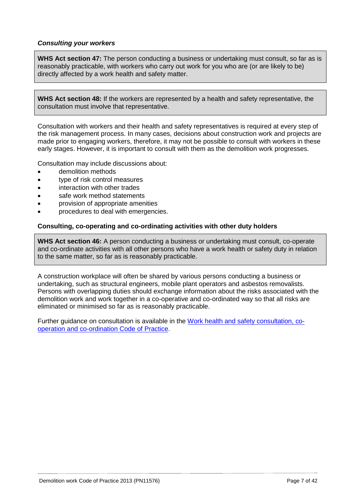### *Consulting your workers*

**WHS Act section 47:** The person conducting a business or undertaking must consult, so far as is reasonably practicable, with workers who carry out work for you who are (or are likely to be) directly affected by a work health and safety matter.

**WHS Act section 48:** If the workers are represented by a health and safety representative, the consultation must involve that representative.

Consultation with workers and their health and safety representatives is required at every step of the risk management process. In many cases, decisions about construction work and projects are made prior to engaging workers, therefore, it may not be possible to consult with workers in these early stages. However, it is important to consult with them as the demolition work progresses.

Consultation may include discussions about:

- demolition methods
- type of risk control measures
- interaction with other trades
- safe work method statements
- provision of appropriate amenities
- procedures to deal with emergencies.

#### **Consulting, co-operating and co-ordinating activities with other duty holders**

**WHS Act section 46:** A person conducting a business or undertaking must consult, co-operate and co-ordinate activities with all other persons who have a work health or safety duty in relation to the same matter, so far as is reasonably practicable.

A construction workplace will often be shared by various persons conducting a business or undertaking, such as structural engineers, mobile plant operators and asbestos removalists. Persons with overlapping duties should exchange information about the risks associated with the demolition work and work together in a co-operative and co-ordinated way so that all risks are eliminated or minimised so far as is reasonably practicable.

Further guidance on consultation is available in the [Work health and safety consultation, co](https://www.worksafe.qld.gov.au/__data/assets/pdf_file/0020/58205/WHS-consultation-coop-coord-COP-2011.pdf)[operation and co-ordination](https://www.worksafe.qld.gov.au/__data/assets/pdf_file/0020/58205/WHS-consultation-coop-coord-COP-2011.pdf) Code of Practice.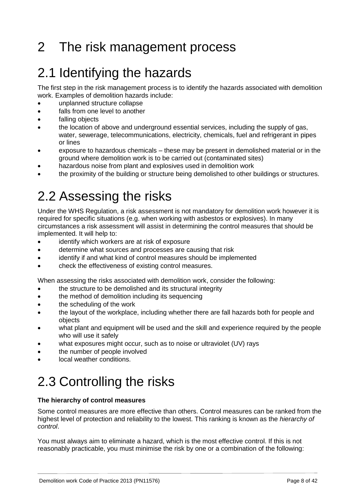# <span id="page-7-0"></span>2 The risk management process

# <span id="page-7-1"></span>2.1 Identifying the hazards

The first step in the risk management process is to identify the hazards associated with demolition work. Examples of demolition hazards include:

- unplanned structure collapse
- falls from one level to another
- falling objects
- the location of above and underground essential services, including the supply of gas, water, sewerage, telecommunications, electricity, chemicals, fuel and refrigerant in pipes or lines
- exposure to hazardous chemicals these may be present in demolished material or in the ground where demolition work is to be carried out (contaminated sites)
- hazardous noise from plant and explosives used in demolition work
- <span id="page-7-2"></span>the proximity of the building or structure being demolished to other buildings or structures.

## 2.2 Assessing the risks

Under the WHS Regulation, a risk assessment is not mandatory for demolition work however it is required for specific situations (e.g. when working with asbestos or explosives). In many circumstances a risk assessment will assist in determining the control measures that should be implemented. It will help to:

- identify which workers are at risk of exposure
- determine what sources and processes are causing that risk
- identify if and what kind of control measures should be implemented
- check the effectiveness of existing control measures.

When assessing the risks associated with demolition work, consider the following:

- the structure to be demolished and its structural integrity
- the method of demolition including its sequencing
- the scheduling of the work
- the layout of the workplace, including whether there are fall hazards both for people and objects
- what plant and equipment will be used and the skill and experience required by the people who will use it safely
- what exposures might occur, such as to noise or ultraviolet (UV) rays
- the number of people involved
- <span id="page-7-3"></span>local weather conditions.

# 2.3 Controlling the risks

### **The hierarchy of control measures**

Some control measures are more effective than others. Control measures can be ranked from the highest level of protection and reliability to the lowest. This ranking is known as the *hierarchy of control*.

You must always aim to eliminate a hazard, which is the most effective control. If this is not reasonably practicable, you must minimise the risk by one or a combination of the following: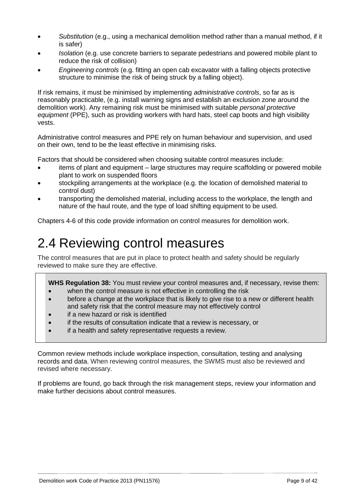- *Substitution* (e.g., using a mechanical demolition method rather than a manual method, if it is safer)
- *Isolation* (e.g. use concrete barriers to separate pedestrians and powered mobile plant to reduce the risk of collision)
- *Engineering controls* (e.g. fitting an open cab excavator with a falling objects protective structure to minimise the risk of being struck by a falling object).

If risk remains, it must be minimised by implementing *administrative controls*, so far as is reasonably practicable, (e.g. install warning signs and establish an exclusion zone around the demolition work). Any remaining risk must be minimised with suitable *personal protective equipment* (PPE), such as providing workers with hard hats, steel cap boots and high visibility vests.

Administrative control measures and PPE rely on human behaviour and supervision, and used on their own, tend to be the least effective in minimising risks.

Factors that should be considered when choosing suitable control measures include:

- items of plant and equipment large structures may require scaffolding or powered mobile plant to work on suspended floors
- stockpiling arrangements at the workplace (e.g. the location of demolished material to control dust)
- transporting the demolished material, including access to the workplace, the length and nature of the haul route, and the type of load shifting equipment to be used.

<span id="page-8-0"></span>Chapters 4-6 of this code provide information on control measures for demolition work.

### 2.4 Reviewing control measures

The control measures that are put in place to protect health and safety should be regularly reviewed to make sure they are effective.

**WHS Regulation 38:** You must review your control measures and, if necessary, revise them:

- when the control measure is not effective in controlling the risk
- before a change at the workplace that is likely to give rise to a new or different health and safety risk that the control measure may not effectively control
- if a new hazard or risk is identified
- if the results of consultation indicate that a review is necessary, or
- if a health and safety representative requests a review.

Common review methods include workplace inspection, consultation, testing and analysing records and data. When reviewing control measures, the SWMS must also be reviewed and revised where necessary.

If problems are found, go back through the risk management steps, review your information and make further decisions about control measures.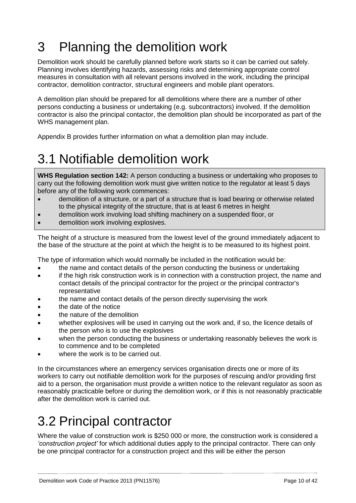# <span id="page-9-0"></span>3 Planning the demolition work

Demolition work should be carefully planned before work starts so it can be carried out safely. Planning involves identifying hazards, assessing risks and determining appropriate control measures in consultation with all relevant persons involved in the work, including the principal contractor, demolition contractor, structural engineers and mobile plant operators.

A demolition plan should be prepared for all demolitions where there are a number of other persons conducting a business or undertaking (e.g. subcontractors) involved. If the demolition contractor is also the principal contactor, the demolition plan should be incorporated as part of the WHS management plan.

<span id="page-9-1"></span>Appendix B provides further information on what a demolition plan may include.

# 3.1 Notifiable demolition work

**WHS Regulation section 142:** A person conducting a business or undertaking who proposes to carry out the following demolition work must give written notice to the regulator at least 5 days before any of the following work commences:

- demolition of a structure, or a part of a structure that is load bearing or otherwise related to the physical integrity of the structure, that is at least 6 metres in height
- demolition work involving load shifting machinery on a suspended floor, or
- demolition work involving explosives.

The height of a structure is measured from the lowest level of the ground immediately adjacent to the base of the structure at the point at which the height is to be measured to its highest point.

The type of information which would normally be included in the notification would be:

- the name and contact details of the person conducting the business or undertaking
- if the high risk construction work is in connection with a construction project, the name and contact details of the principal contractor for the project or the principal contractor's representative
- the name and contact details of the person directly supervising the work
- the date of the notice
- the nature of the demolition
- whether explosives will be used in carrying out the work and, if so, the licence details of the person who is to use the explosives
- when the person conducting the business or undertaking reasonably believes the work is to commence and to be completed
- where the work is to be carried out.

In the circumstances where an emergency services organisation directs one or more of its workers to carry out notifiable demolition work for the purposes of rescuing and/or providing first aid to a person, the organisation must provide a written notice to the relevant regulator as soon as reasonably practicable before or during the demolition work, or if this is not reasonably practicable after the demolition work is carried out.

# <span id="page-9-2"></span>3.2 Principal contractor

Where the value of construction work is \$250 000 or more, the construction work is considered a *'construction project'* for which additional duties apply to the principal contractor. There can only be one principal contractor for a construction project and this will be either the person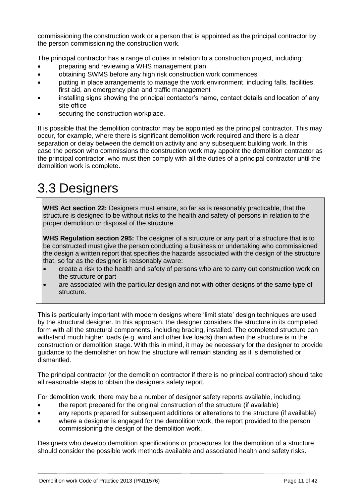commissioning the construction work or a person that is appointed as the principal contractor by the person commissioning the construction work.

The principal contractor has a range of duties in relation to a construction project, including:

- preparing and reviewing a WHS management plan
- obtaining SWMS before any high risk construction work commences
- putting in place arrangements to manage the work environment, including falls, facilities, first aid, an emergency plan and traffic management
- installing signs showing the principal contactor's name, contact details and location of any site office
- securing the construction workplace.

It is possible that the demolition contractor may be appointed as the principal contractor. This may occur, for example, where there is significant demolition work required and there is a clear separation or delay between the demolition activity and any subsequent building work. In this case the person who commissions the construction work may appoint the demolition contractor as the principal contractor, who must then comply with all the duties of a principal contractor until the demolition work is complete.

# <span id="page-10-0"></span>3.3 Designers

**WHS Act section 22:** Designers must ensure, so far as is reasonably practicable, that the structure is designed to be without risks to the health and safety of persons in relation to the proper demolition or disposal of the structure.

**WHS Regulation section 295:** The designer of a structure or any part of a structure that is to be constructed must give the person conducting a business or undertaking who commissioned the design a written report that specifies the hazards associated with the design of the structure that, so far as the designer is reasonably aware:

- create a risk to the health and safety of persons who are to carry out construction work on the structure or part
- are associated with the particular design and not with other designs of the same type of structure.

This is particularly important with modern designs where 'limit state' design techniques are used by the structural designer. In this approach, the designer considers the structure in its completed form with all the structural components, including bracing, installed. The completed structure can withstand much higher loads (e.g. wind and other live loads) than when the structure is in the construction or demolition stage. With this in mind, it may be necessary for the designer to provide guidance to the demolisher on how the structure will remain standing as it is demolished or dismantled.

The principal contractor (or the demolition contractor if there is no principal contractor) should take all reasonable steps to obtain the designers safety report.

For demolition work, there may be a number of designer safety reports available, including:

- the report prepared for the original construction of the structure (if available)
- any reports prepared for subsequent additions or alterations to the structure (if available)
- where a designer is engaged for the demolition work, the report provided to the person commissioning the design of the demolition work.

Designers who develop demolition specifications or procedures for the demolition of a structure should consider the possible work methods available and associated health and safety risks.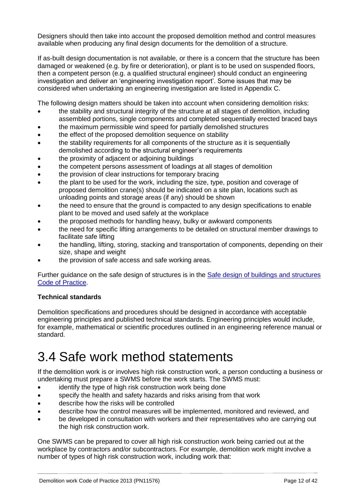Designers should then take into account the proposed demolition method and control measures available when producing any final design documents for the demolition of a structure.

If as-built design documentation is not available, or there is a concern that the structure has been damaged or weakened (e.g. by fire or deterioration), or plant is to be used on suspended floors, then a competent person (e.g. a qualified structural engineer) should conduct an engineering investigation and deliver an 'engineering investigation report'. Some issues that may be considered when undertaking an engineering investigation are listed in Appendix C.

The following design matters should be taken into account when considering demolition risks:

- the stability and structural integrity of the structure at all stages of demolition, including assembled portions, single components and completed sequentially erected braced bays
- the maximum permissible wind speed for partially demolished structures
- the effect of the proposed demolition sequence on stability
- the stability requirements for all components of the structure as it is sequentially demolished according to the structural engineer's requirements
- the proximity of adjacent or adjoining buildings
- the competent persons assessment of loadings at all stages of demolition
- the provision of clear instructions for temporary bracing
- the plant to be used for the work, including the size, type, position and coverage of proposed demolition crane(s) should be indicated on a site plan, locations such as unloading points and storage areas (if any) should be shown
- the need to ensure that the ground is compacted to any design specifications to enable plant to be moved and used safely at the workplace
- the proposed methods for handling heavy, bulky or awkward components
- the need for specific lifting arrangements to be detailed on structural member drawings to facilitate safe lifting
- the handling, lifting, storing, stacking and transportation of components, depending on their size, shape and weight
- the provision of safe access and safe working areas.

Further guidance on the safe design of structures is in the [Safe design of buildings and structures](https://www.worksafe.qld.gov.au/__data/assets/pdf_file/0008/58193/safe-design-structures-cop-2013.pdf) [Code of Practice.](https://www.worksafe.qld.gov.au/__data/assets/pdf_file/0008/58193/safe-design-structures-cop-2013.pdf)

### **Technical standards**

Demolition specifications and procedures should be designed in accordance with acceptable engineering principles and published technical standards. Engineering principles would include, for example, mathematical or scientific procedures outlined in an engineering reference manual or standard.

## <span id="page-11-0"></span>3.4 Safe work method statements

If the demolition work is or involves high risk construction work, a person conducting a business or undertaking must prepare a SWMS before the work starts. The SWMS must:

- identify the type of high risk construction work being done
- specify the health and safety hazards and risks arising from that work
- describe how the risks will be controlled
- describe how the control measures will be implemented, monitored and reviewed, and
- be developed in consultation with workers and their representatives who are carrying out the high risk construction work.

One SWMS can be prepared to cover all high risk construction work being carried out at the workplace by contractors and/or subcontractors. For example, demolition work might involve a number of types of high risk construction work, including work that: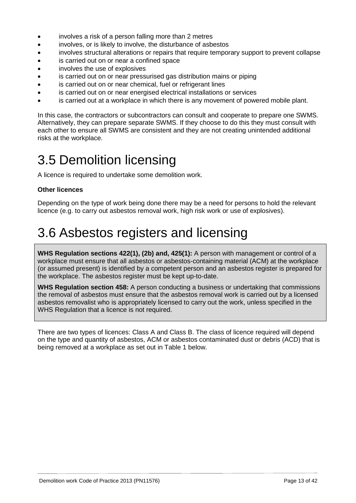- involves a risk of a person falling more than 2 metres
- involves, or is likely to involve, the disturbance of asbestos
- involves structural alterations or repairs that require temporary support to prevent collapse
- is carried out on or near a confined space
- involves the use of explosives
- is carried out on or near pressurised gas distribution mains or piping
- is carried out on or near chemical, fuel or refrigerant lines
- is carried out on or near energised electrical installations or services
- is carried out at a workplace in which there is any movement of powered mobile plant.

In this case, the contractors or subcontractors can consult and cooperate to prepare one SWMS. Alternatively, they can prepare separate SWMS. If they choose to do this they must consult with each other to ensure all SWMS are consistent and they are not creating unintended additional risks at the workplace.

### <span id="page-12-0"></span>3.5 Demolition licensing

A licence is required to undertake some demolition work.

#### **Other licences**

Depending on the type of work being done there may be a need for persons to hold the relevant licence (e.g. to carry out asbestos removal work, high risk work or use of explosives).

### <span id="page-12-1"></span>3.6 Asbestos registers and licensing

**WHS Regulation sections 422(1), (2b) and, 425(1):** A person with management or control of a workplace must ensure that all asbestos or asbestos-containing material (ACM) at the workplace (or assumed present) is identified by a competent person and an asbestos register is prepared for the workplace. The asbestos register must be kept up-to-date.

**WHS Regulation section 458:** A person conducting a business or undertaking that commissions the removal of asbestos must ensure that the asbestos removal work is carried out by a licensed asbestos removalist who is appropriately licensed to carry out the work, unless specified in the WHS Regulation that a licence is not required.

There are two types of licences: Class A and Class B. The class of licence required will depend on the type and quantity of asbestos, ACM or asbestos contaminated dust or debris (ACD) that is being removed at a workplace as set out in Table 1 below.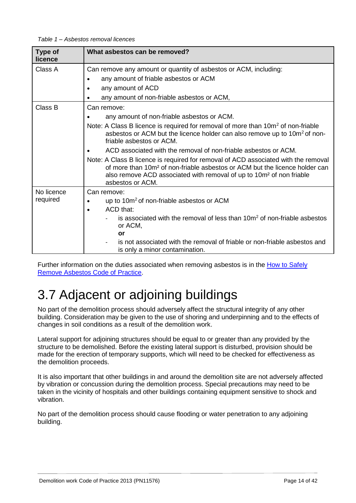| Type of    | What asbestos can be removed?                                                                                                                                                                                                                                                         |
|------------|---------------------------------------------------------------------------------------------------------------------------------------------------------------------------------------------------------------------------------------------------------------------------------------|
| licence    |                                                                                                                                                                                                                                                                                       |
| Class A    | Can remove any amount or quantity of asbestos or ACM, including:                                                                                                                                                                                                                      |
|            | any amount of friable asbestos or ACM                                                                                                                                                                                                                                                 |
|            | any amount of ACD                                                                                                                                                                                                                                                                     |
|            | any amount of non-friable asbestos or ACM,                                                                                                                                                                                                                                            |
| Class B    | Can remove:                                                                                                                                                                                                                                                                           |
|            | any amount of non-friable asbestos or ACM.                                                                                                                                                                                                                                            |
|            | Note: A Class B licence is required for removal of more than 10m <sup>2</sup> of non-friable<br>asbestos or ACM but the licence holder can also remove up to 10m <sup>2</sup> of non-<br>friable asbestos or ACM.                                                                     |
|            | ACD associated with the removal of non-friable asbestos or ACM.                                                                                                                                                                                                                       |
|            | Note: A Class B licence is required for removal of ACD associated with the removal<br>of more than 10m <sup>2</sup> of non-friable asbestos or ACM but the licence holder can<br>also remove ACD associated with removal of up to 10m <sup>2</sup> of non friable<br>asbestos or ACM. |
| No licence | Can remove:                                                                                                                                                                                                                                                                           |
| required   | up to 10m <sup>2</sup> of non-friable asbestos or ACM<br>$\bullet$                                                                                                                                                                                                                    |
|            | ACD that:<br>$\bullet$                                                                                                                                                                                                                                                                |
|            | is associated with the removal of less than 10m <sup>2</sup> of non-friable asbestos<br>or ACM,                                                                                                                                                                                       |
|            | or                                                                                                                                                                                                                                                                                    |
|            | is not associated with the removal of friable or non-friable asbestos and<br>is only a minor contamination.                                                                                                                                                                           |

Further information on the duties associated when removing asbestos is in the [How to Safely](https://www.worksafe.qld.gov.au/__data/assets/pdf_file/0009/58194/how-to-safely-remove-asbestos-cop-2011.pdf)  [Remove Asbestos](https://www.worksafe.qld.gov.au/__data/assets/pdf_file/0009/58194/how-to-safely-remove-asbestos-cop-2011.pdf) Code of Practice.

# <span id="page-13-0"></span>3.7 Adjacent or adjoining buildings

No part of the demolition process should adversely affect the structural integrity of any other building. Consideration may be given to the use of shoring and underpinning and to the effects of changes in soil conditions as a result of the demolition work.

Lateral support for adjoining structures should be equal to or greater than any provided by the structure to be demolished. Before the existing lateral support is disturbed, provision should be made for the erection of temporary supports, which will need to be checked for effectiveness as the demolition proceeds.

It is also important that other buildings in and around the demolition site are not adversely affected by vibration or concussion during the demolition process. Special precautions may need to be taken in the vicinity of hospitals and other buildings containing equipment sensitive to shock and vibration.

No part of the demolition process should cause flooding or water penetration to any adjoining building.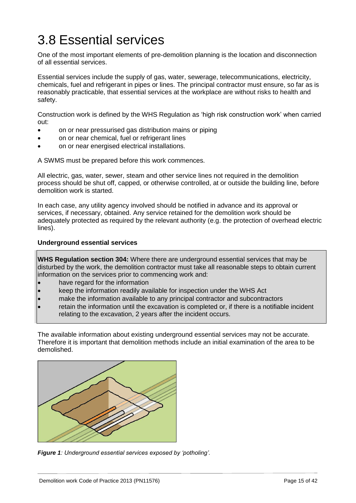# <span id="page-14-0"></span>3.8 Essential services

One of the most important elements of pre-demolition planning is the location and disconnection of all essential services.

Essential services include the supply of gas, water, sewerage, telecommunications, electricity, chemicals, fuel and refrigerant in pipes or lines. The principal contractor must ensure, so far as is reasonably practicable, that essential services at the workplace are without risks to health and safety.

Construction work is defined by the WHS Regulation as 'high risk construction work' when carried out:

- on or near pressurised gas distribution mains or piping
- on or near chemical, fuel or refrigerant lines
- on or near energised electrical installations.

A SWMS must be prepared before this work commences.

All electric, gas, water, sewer, steam and other service lines not required in the demolition process should be shut off, capped, or otherwise controlled, at or outside the building line, before demolition work is started.

In each case, any utility agency involved should be notified in advance and its approval or services, if necessary, obtained. Any service retained for the demolition work should be adequately protected as required by the relevant authority (e.g. the protection of overhead electric lines).

#### **Underground essential services**

**WHS Regulation section 304:** Where there are underground essential services that may be disturbed by the work, the demolition contractor must take all reasonable steps to obtain current information on the services prior to commencing work and:

- have regard for the information
- keep the information readily available for inspection under the WHS Act
- make the information available to any principal contractor and subcontractors
- retain the information until the excavation is completed or, if there is a notifiable incident relating to the excavation, 2 years after the incident occurs.

The available information about existing underground essential services may not be accurate. Therefore it is important that demolition methods include an initial examination of the area to be demolished.



*Figure 1: Underground essential services exposed by 'potholing'.*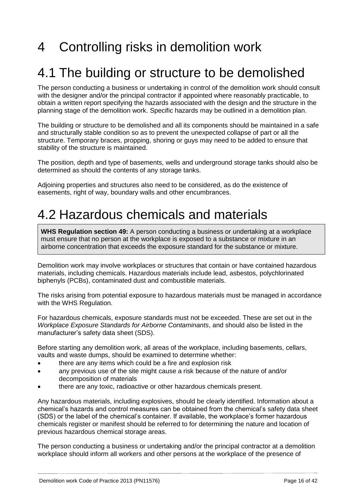# <span id="page-15-0"></span>4 Controlling risks in demolition work

### <span id="page-15-1"></span>4.1 The building or structure to be demolished

The person conducting a business or undertaking in control of the demolition work should consult with the designer and/or the principal contractor if appointed where reasonably practicable, to obtain a written report specifying the hazards associated with the design and the structure in the planning stage of the demolition work. Specific hazards may be outlined in a demolition plan.

The building or structure to be demolished and all its components should be maintained in a safe and structurally stable condition so as to prevent the unexpected collapse of part or all the structure. Temporary braces, propping, shoring or guys may need to be added to ensure that stability of the structure is maintained.

The position, depth and type of basements, wells and underground storage tanks should also be determined as should the contents of any storage tanks.

Adjoining properties and structures also need to be considered, as do the existence of easements, right of way, boundary walls and other encumbrances.

### <span id="page-15-2"></span>4.2 Hazardous chemicals and materials

**WHS Regulation section 49:** A person conducting a business or undertaking at a workplace must ensure that no person at the workplace is exposed to a substance or mixture in an airborne concentration that exceeds the exposure standard for the substance or mixture.

Demolition work may involve workplaces or structures that contain or have contained hazardous materials, including chemicals. Hazardous materials include lead, asbestos, polychlorinated biphenyls (PCBs), contaminated dust and combustible materials.

The risks arising from potential exposure to hazardous materials must be managed in accordance with the WHS Regulation.

For hazardous chemicals, exposure standards must not be exceeded. These are set out in the *Workplace Exposure Standards for Airborne Contaminants*, and should also be listed in the manufacturer's safety data sheet (SDS).

Before starting any demolition work, all areas of the workplace, including basements, cellars, vaults and waste dumps, should be examined to determine whether:

- there are any items which could be a fire and explosion risk
- any previous use of the site might cause a risk because of the nature of and/or decomposition of materials
- there are any toxic, radioactive or other hazardous chemicals present.

Any hazardous materials, including explosives, should be clearly identified. Information about a chemical's hazards and control measures can be obtained from the chemical's safety data sheet (SDS) or the label of the chemical's container. If available, the workplace's former hazardous chemicals register or manifest should be referred to for determining the nature and location of previous hazardous chemical storage areas.

The person conducting a business or undertaking and/or the principal contractor at a demolition workplace should inform all workers and other persons at the workplace of the presence of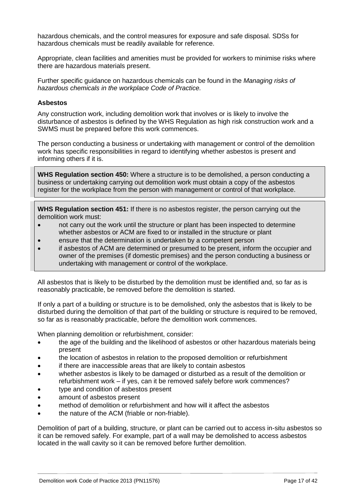hazardous chemicals, and the control measures for exposure and safe disposal. SDSs for hazardous chemicals must be readily available for reference.

Appropriate, clean facilities and amenities must be provided for workers to minimise risks where there are hazardous materials present.

Further specific guidance on hazardous chemicals can be found in the *Managing risks of hazardous chemicals in the workplace Code of Practice.*

#### **Asbestos**

Any construction work, including demolition work that involves or is likely to involve the disturbance of asbestos is defined by the WHS Regulation as high risk construction work and a SWMS must be prepared before this work commences.

The person conducting a business or undertaking with management or control of the demolition work has specific responsibilities in regard to identifying whether asbestos is present and informing others if it is.

**WHS Regulation section 450:** Where a structure is to be demolished, a person conducting a business or undertaking carrying out demolition work must obtain a copy of the asbestos register for the workplace from the person with management or control of that workplace.

**WHS Regulation section 451:** If there is no asbestos register, the person carrying out the demolition work must:

- not carry out the work until the structure or plant has been inspected to determine whether asbestos or ACM are fixed to or installed in the structure or plant
- ensure that the determination is undertaken by a competent person
- if asbestos of ACM are determined or presumed to be present, inform the occupier and owner of the premises (if domestic premises) and the person conducting a business or undertaking with management or control of the workplace.

All asbestos that is likely to be disturbed by the demolition must be identified and, so far as is reasonably practicable, be removed before the demolition is started.

If only a part of a building or structure is to be demolished, only the asbestos that is likely to be disturbed during the demolition of that part of the building or structure is required to be removed, so far as is reasonably practicable, before the demolition work commences.

When planning demolition or refurbishment, consider:

- the age of the building and the likelihood of asbestos or other hazardous materials being present
- the location of asbestos in relation to the proposed demolition or refurbishment
- if there are inaccessible areas that are likely to contain asbestos
- whether asbestos is likely to be damaged or disturbed as a result of the demolition or refurbishment work – if yes, can it be removed safely before work commences?
- type and condition of asbestos present
- amount of asbestos present
- method of demolition or refurbishment and how will it affect the asbestos
- the nature of the ACM (friable or non-friable).

Demolition of part of a building, structure, or plant can be carried out to access in-situ asbestos so it can be removed safely. For example, part of a wall may be demolished to access asbestos located in the wall cavity so it can be removed before further demolition.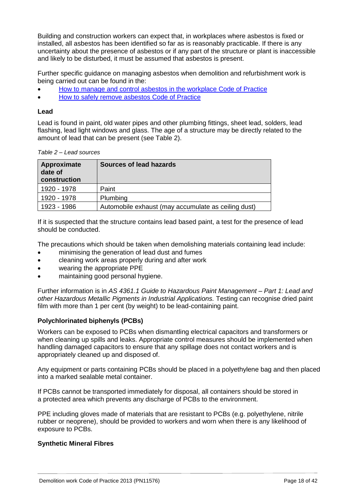Building and construction workers can expect that, in workplaces where asbestos is fixed or installed, all asbestos has been identified so far as is reasonably practicable. If there is any uncertainty about the presence of asbestos or if any part of the structure or plant is inaccessible and likely to be disturbed, it must be assumed that asbestos is present.

Further specific guidance on managing asbestos when demolition and refurbishment work is being carried out can be found in the:

- [How to manage and control asbestos in the workplace](https://www.worksafe.qld.gov.au/__data/assets/pdf_file/0011/58169/how-to-manage-control-asbestos-in-workplace-cop-2011.pdf) Code of Practice
- [How to safely remove asbestos](https://www.worksafe.qld.gov.au/__data/assets/pdf_file/0009/58194/how-to-safely-remove-asbestos-cop-2011.pdf) Code of Practice

### **Lead**

Lead is found in paint, old water pipes and other plumbing fittings, sheet lead, solders, lead flashing, lead light windows and glass. The age of a structure may be directly related to the amount of lead that can be present (see Table 2).

| Approximate<br>date of<br>construction | Sources of lead hazards                             |
|----------------------------------------|-----------------------------------------------------|
| 1920 - 1978                            | Paint                                               |
| 1920 - 1978                            | Plumbing                                            |
| 1923 - 1986                            | Automobile exhaust (may accumulate as ceiling dust) |

*Table 2 – Lead sources*

If it is suspected that the structure contains lead based paint, a test for the presence of lead should be conducted.

The precautions which should be taken when demolishing materials containing lead include:

- minimising the generation of lead dust and fumes
- cleaning work areas properly during and after work
- wearing the appropriate PPE
- maintaining good personal hygiene.

Further information is in *AS 4361.1 Guide to Hazardous Paint Management – Part 1: Lead and other Hazardous Metallic Pigments in Industrial Applications.* Testing can recognise dried paint film with more than 1 per cent (by weight) to be lead-containing paint.

### **Polychlorinated biphenyls (PCBs)**

Workers can be exposed to PCBs when dismantling electrical capacitors and transformers or when cleaning up spills and leaks. Appropriate control measures should be implemented when handling damaged capacitors to ensure that any spillage does not contact workers and is appropriately cleaned up and disposed of.

Any equipment or parts containing PCBs should be placed in a polyethylene bag and then placed into a marked sealable metal container.

If PCBs cannot be transported immediately for disposal, all containers should be stored in a protected area which prevents any discharge of PCBs to the environment.

PPE including gloves made of materials that are resistant to PCBs (e.g. polyethylene, nitrile rubber or neoprene), should be provided to workers and worn when there is any likelihood of exposure to PCBs.

### **Synthetic Mineral Fibres**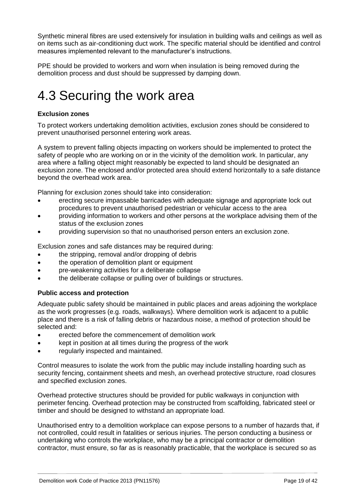Synthetic mineral fibres are used extensively for insulation in building walls and ceilings as well as on items such as air-conditioning duct work. The specific material should be identified and control measures implemented relevant to the manufacturer's instructions.

PPE should be provided to workers and worn when insulation is being removed during the demolition process and dust should be suppressed by damping down.

### <span id="page-18-0"></span>4.3 Securing the work area

### **Exclusion zones**

To protect workers undertaking demolition activities, exclusion zones should be considered to prevent unauthorised personnel entering work areas.

A system to prevent falling objects impacting on workers should be implemented to protect the safety of people who are working on or in the vicinity of the demolition work. In particular, any area where a falling object might reasonably be expected to land should be designated an exclusion zone. The enclosed and/or protected area should extend horizontally to a safe distance beyond the overhead work area.

Planning for exclusion zones should take into consideration:

- erecting secure impassable barricades with adequate signage and appropriate lock out procedures to prevent unauthorised pedestrian or vehicular access to the area
- providing information to workers and other persons at the workplace advising them of the status of the exclusion zones
- providing supervision so that no unauthorised person enters an exclusion zone.

Exclusion zones and safe distances may be required during:

- the stripping, removal and/or dropping of debris
- the operation of demolition plant or equipment
- pre-weakening activities for a deliberate collapse
- the deliberate collapse or pulling over of buildings or structures.

### **Public access and protection**

Adequate public safety should be maintained in public places and areas adjoining the workplace as the work progresses (e.g. roads, walkways). Where demolition work is adjacent to a public place and there is a risk of falling debris or hazardous noise, a method of protection should be selected and:

- erected before the commencement of demolition work
- kept in position at all times during the progress of the work
- regularly inspected and maintained.

Control measures to isolate the work from the public may include installing hoarding such as security fencing, containment sheets and mesh, an overhead protective structure, road closures and specified exclusion zones.

Overhead protective structures should be provided for public walkways in conjunction with perimeter fencing. Overhead protection may be constructed from scaffolding, fabricated steel or timber and should be designed to withstand an appropriate load.

Unauthorised entry to a demolition workplace can expose persons to a number of hazards that, if not controlled, could result in fatalities or serious injuries. The person conducting a business or undertaking who controls the workplace, who may be a principal contractor or demolition contractor, must ensure, so far as is reasonably practicable, that the workplace is secured so as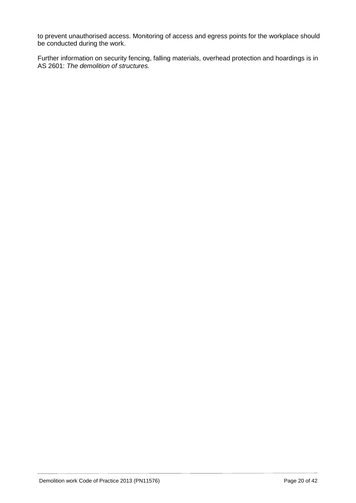to prevent unauthorised access. Monitoring of access and egress points for the workplace should be conducted during the work.

Further information on security fencing, falling materials, overhead protection and hoardings is in AS 2601: *The demolition of structures.*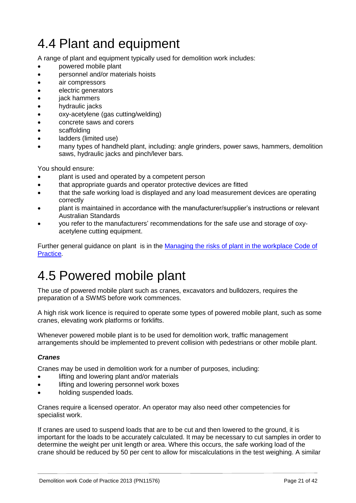# <span id="page-20-0"></span>4.4 Plant and equipment

A range of plant and equipment typically used for demolition work includes:

- powered mobile plant
- personnel and/or materials hoists
- air compressors
- electric generators
- jack hammers
- hydraulic jacks
- oxy-acetylene (gas cutting/welding)
- concrete saws and corers
- scaffolding
- ladders (limited use)
- many types of handheld plant, including: angle grinders, power saws, hammers, demolition saws, hydraulic jacks and pinch/lever bars.

You should ensure:

- plant is used and operated by a competent person
- **that appropriate quards and operator protective devices are fitted**
- that the safe working load is displayed and any load measurement devices are operating correctly
- plant is maintained in accordance with the manufacturer/supplier's instructions or relevant Australian Standards
- you refer to the manufacturers' recommendations for the safe use and storage of oxyacetylene cutting equipment.

Further general guidance on plant is in the Managing the risks [of plant in the workplace](https://www.worksafe.qld.gov.au/__data/assets/pdf_file/0006/58173/Managing-risks-of-plant-COP-2013.pdf) Code of [Practice](https://www.worksafe.qld.gov.au/__data/assets/pdf_file/0006/58173/Managing-risks-of-plant-COP-2013.pdf)*.*

## <span id="page-20-1"></span>4.5 Powered mobile plant

The use of powered mobile plant such as cranes, excavators and bulldozers, requires the preparation of a SWMS before work commences.

A high risk work licence is required to operate some types of powered mobile plant, such as some cranes, elevating work platforms or forklifts.

Whenever powered mobile plant is to be used for demolition work, traffic management arrangements should be implemented to prevent collision with pedestrians or other mobile plant.

### *Cranes*

Cranes may be used in demolition work for a number of purposes, including:

- **Illet is and lowering plant and/or materials**
- lifting and lowering personnel work boxes
- holding suspended loads.

Cranes require a licensed operator. An operator may also need other competencies for specialist work.

If cranes are used to suspend loads that are to be cut and then lowered to the ground, it is important for the loads to be accurately calculated. It may be necessary to cut samples in order to determine the weight per unit length or area. Where this occurs, the safe working load of the crane should be reduced by 50 per cent to allow for miscalculations in the test weighing. A similar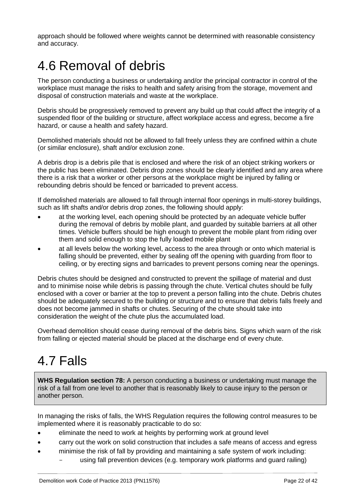approach should be followed where weights cannot be determined with reasonable consistency and accuracy.

## <span id="page-21-0"></span>4.6 Removal of debris

The person conducting a business or undertaking and/or the principal contractor in control of the workplace must manage the risks to health and safety arising from the storage, movement and disposal of construction materials and waste at the workplace.

Debris should be progressively removed to prevent any build up that could affect the integrity of a suspended floor of the building or structure, affect workplace access and egress, become a fire hazard, or cause a health and safety hazard.

Demolished materials should not be allowed to fall freely unless they are confined within a chute (or similar enclosure), shaft and/or exclusion zone.

A debris drop is a debris pile that is enclosed and where the risk of an object striking workers or the public has been eliminated. Debris drop zones should be clearly identified and any area where there is a risk that a worker or other persons at the workplace might be injured by falling or rebounding debris should be fenced or barricaded to prevent access.

If demolished materials are allowed to fall through internal floor openings in multi-storey buildings, such as lift shafts and/or debris drop zones, the following should apply:

- at the working level, each opening should be protected by an adequate vehicle buffer during the removal of debris by mobile plant, and guarded by suitable barriers at all other times. Vehicle buffers should be high enough to prevent the mobile plant from riding over them and solid enough to stop the fully loaded mobile plant
- at all levels below the working level, access to the area through or onto which material is falling should be prevented, either by sealing off the opening with guarding from floor to ceiling, or by erecting signs and barricades to prevent persons coming near the openings.

Debris chutes should be designed and constructed to prevent the spillage of material and dust and to minimise noise while debris is passing through the chute. Vertical chutes should be fully enclosed with a cover or barrier at the top to prevent a person falling into the chute. Debris chutes should be adequately secured to the building or structure and to ensure that debris falls freely and does not become jammed in shafts or chutes. Securing of the chute should take into consideration the weight of the chute plus the accumulated load.

Overhead demolition should cease during removal of the debris bins. Signs which warn of the risk from falling or ejected material should be placed at the discharge end of every chute.

# <span id="page-21-1"></span>4.7 Falls

**WHS Regulation section 78:** A person conducting a business or undertaking must manage the risk of a fall from one level to another that is reasonably likely to cause injury to the person or another person.

In managing the risks of falls, the WHS Regulation requires the following control measures to be implemented where it is reasonably practicable to do so:

- eliminate the need to work at heights by performing work at ground level
- carry out the work on solid construction that includes a safe means of access and egress
- minimise the risk of fall by providing and maintaining a safe system of work including:
	- using fall prevention devices (e.g. temporary work platforms and guard railing)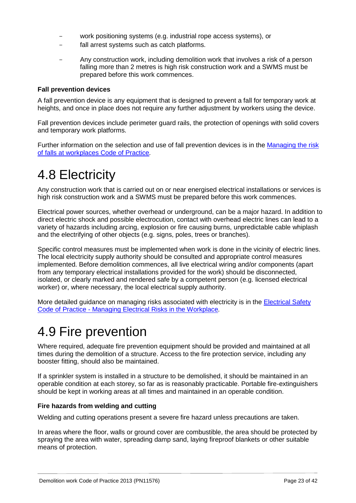- work positioning systems (e.g. industrial rope access systems), or
- fall arrest systems such as catch platforms.
- Any construction work, including demolition work that involves a risk of a person falling more than 2 metres is high risk construction work and a SWMS must be prepared before this work commences.

#### **Fall prevention devices**

A fall prevention device is any equipment that is designed to prevent a fall for temporary work at heights, and once in place does not require any further adjustment by workers using the device.

Fall prevention devices include perimeter guard rails, the protection of openings with solid covers and temporary work platforms.

Further information on the selection and use of fall prevention devices is in the [Managing the risk](https://www.worksafe.qld.gov.au/__data/assets/pdf_file/0004/58171/managing-risk-falls-workplaces-cop-2011.pdf)  [of falls at workplaces](https://www.worksafe.qld.gov.au/__data/assets/pdf_file/0004/58171/managing-risk-falls-workplaces-cop-2011.pdf) Code of Practice*.*

### <span id="page-22-0"></span>4.8 Electricity

Any construction work that is carried out on or near energised electrical installations or services is high risk construction work and a SWMS must be prepared before this work commences.

Electrical power sources, whether overhead or underground, can be a major hazard. In addition to direct electric shock and possible electrocution, contact with overhead electric lines can lead to a variety of hazards including arcing, explosion or fire causing burns, unpredictable cable whiplash and the electrifying of other objects (e.g. signs, poles, trees or branches).

Specific control measures must be implemented when work is done in the vicinity of electric lines. The local electricity supply authority should be consulted and appropriate control measures implemented. Before demolition commences, all live electrical wiring and/or components (apart from any temporary electrical installations provided for the work) should be disconnected, isolated, or clearly marked and rendered safe by a competent person (e.g. licensed electrical worker) or, where necessary, the local electrical supply authority.

More detailed guidance on managing risks associated with electricity is in the [Electrical Safety](https://www.worksafe.qld.gov.au/__data/assets/pdf_file/0007/59677/es-code-of-practice-risk-management.pdf)  Code of Practice - [Managing Electrical Risks in the Workplace](https://www.worksafe.qld.gov.au/__data/assets/pdf_file/0007/59677/es-code-of-practice-risk-management.pdf)*.*

### <span id="page-22-1"></span>4.9 Fire prevention

Where required, adequate fire prevention equipment should be provided and maintained at all times during the demolition of a structure. Access to the fire protection service, including any booster fitting, should also be maintained.

If a sprinkler system is installed in a structure to be demolished, it should be maintained in an operable condition at each storey, so far as is reasonably practicable. Portable fire-extinguishers should be kept in working areas at all times and maintained in an operable condition.

### **Fire hazards from welding and cutting**

Welding and cutting operations present a severe fire hazard unless precautions are taken.

In areas where the floor, walls or ground cover are combustible, the area should be protected by spraying the area with water, spreading damp sand, laying fireproof blankets or other suitable means of protection.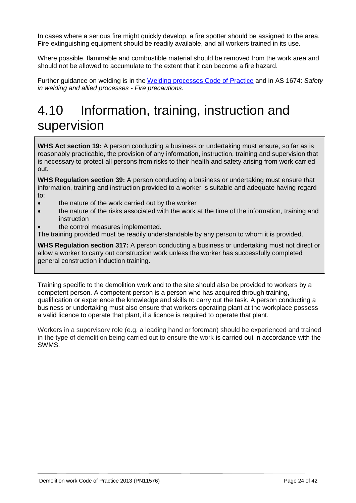In cases where a serious fire might quickly develop, a fire spotter should be assigned to the area. Fire extinguishing equipment should be readily available, and all workers trained in its use.

Where possible, flammable and combustible material should be removed from the work area and should not be allowed to accumulate to the extent that it can become a fire hazard.

Further guidance on welding is in the [Welding processes Code of Practice](https://www.worksafe.qld.gov.au/__data/assets/pdf_file/0019/58204/welding-processes-cop-2013.pdf) and in AS 1674: *Safety in welding and allied processes - Fire precautions*.

# <span id="page-23-0"></span>4.10 Information, training, instruction and supervision

**WHS Act section 19:** A person conducting a business or undertaking must ensure, so far as is reasonably practicable, the provision of any information, instruction, training and supervision that is necessary to protect all persons from risks to their health and safety arising from work carried out.

**WHS Regulation section 39:** A person conducting a business or undertaking must ensure that information, training and instruction provided to a worker is suitable and adequate having regard to:

- the nature of the work carried out by the worker
- the nature of the risks associated with the work at the time of the information, training and instruction
- the control measures implemented.

The training provided must be readily understandable by any person to whom it is provided.

**WHS Regulation section 317:** A person conducting a business or undertaking must not direct or allow a worker to carry out construction work unless the worker has successfully completed general construction induction training.

Training specific to the demolition work and to the site should also be provided to workers by a competent person. A competent person is a person who has acquired through training, qualification or experience the knowledge and skills to carry out the task. A person conducting a business or undertaking must also ensure that workers operating plant at the workplace possess a valid licence to operate that plant, if a licence is required to operate that plant.

Workers in a supervisory role (e.g. a leading hand or foreman) should be experienced and trained in the type of demolition being carried out to ensure the work is carried out in accordance with the SWMS.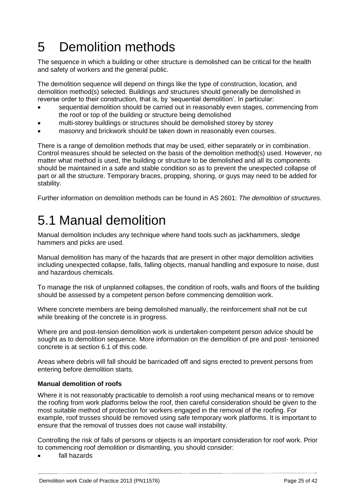# <span id="page-24-0"></span>5 Demolition methods

The sequence in which a building or other structure is demolished can be critical for the health and safety of workers and the general public.

The demolition sequence will depend on things like the type of construction, location, and demolition method(s) selected. Buildings and structures should generally be demolished in reverse order to their construction, that is, by 'sequential demolition'. In particular:

- sequential demolition should be carried out in reasonably even stages, commencing from the roof or top of the building or structure being demolished
- multi-storey buildings or structures should be demolished storey by storey
- masonry and brickwork should be taken down in reasonably even courses.

There is a range of demolition methods that may be used, either separately or in combination. Control measures should be selected on the basis of the demolition method(s) used. However, no matter what method is used, the building or structure to be demolished and all its components should be maintained in a safe and stable condition so as to prevent the unexpected collapse of part or all the structure. Temporary braces, propping, shoring, or guys may need to be added for stability.

<span id="page-24-1"></span>Further information on demolition methods can be found in AS 2601: *The demolition of structures.*

## 5.1 Manual demolition

Manual demolition includes any technique where hand tools such as jackhammers, sledge hammers and picks are used.

Manual demolition has many of the hazards that are present in other major demolition activities including unexpected collapse, falls, falling objects, manual handling and exposure to noise, dust and hazardous chemicals.

To manage the risk of unplanned collapses, the condition of roofs, walls and floors of the building should be assessed by a competent person before commencing demolition work.

Where concrete members are being demolished manually, the reinforcement shall not be cut while breaking of the concrete is in progress.

Where pre and post-tension demolition work is undertaken competent person advice should be sought as to demolition sequence. More information on the demolition of pre and post- tensioned concrete is at section 6.1 of this code.

Areas where debris will fall should be barricaded off and signs erected to prevent persons from entering before demolition starts.

### **Manual demolition of roofs**

Where it is not reasonably practicable to demolish a roof using mechanical means or to remove the roofing from work platforms below the roof, then careful consideration should be given to the most suitable method of protection for workers engaged in the removal of the roofing. For example, roof trusses should be removed using safe temporary work platforms. It is important to ensure that the removal of trusses does not cause wall instability.

Controlling the risk of falls of persons or objects is an important consideration for roof work. Prior to commencing roof demolition or dismantling, you should consider:

fall hazards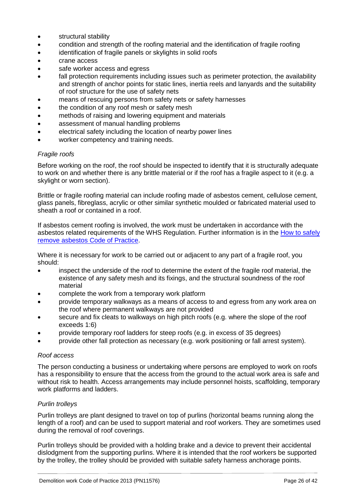- **•** structural stability
- condition and strength of the roofing material and the identification of fragile roofing
- identification of fragile panels or skylights in solid roofs
- crane access
- safe worker access and egress
- fall protection requirements including issues such as perimeter protection, the availability and strength of anchor points for static lines, inertia reels and lanyards and the suitability of roof structure for the use of safety nets
- means of rescuing persons from safety nets or safety harnesses
- the condition of any roof mesh or safety mesh
- methods of raising and lowering equipment and materials
- assessment of manual handling problems
- electrical safety including the location of nearby power lines
- worker competency and training needs.

#### *Fragile roofs*

Before working on the roof, the roof should be inspected to identify that it is structurally adequate to work on and whether there is any brittle material or if the roof has a fragile aspect to it (e.g. a skylight or worn section).

Brittle or fragile roofing material can include roofing made of asbestos cement, cellulose cement, glass panels, fibreglass, acrylic or other similar synthetic moulded or fabricated material used to sheath a roof or contained in a roof.

If asbestos cement roofing is involved, the work must be undertaken in accordance with the asbestos related requirements of the WHS Regulation. Further information is in the [How to safely](https://www.worksafe.qld.gov.au/__data/assets/pdf_file/0009/58194/how-to-safely-remove-asbestos-cop-2011.pdf)  [remove asbestos](https://www.worksafe.qld.gov.au/__data/assets/pdf_file/0009/58194/how-to-safely-remove-asbestos-cop-2011.pdf) Code of Practice.

Where it is necessary for work to be carried out or adiacent to any part of a fragile roof, you should:

- inspect the underside of the roof to determine the extent of the fragile roof material, the existence of any safety mesh and its fixings, and the structural soundness of the roof material
- complete the work from a temporary work platform
- provide temporary walkways as a means of access to and egress from any work area on the roof where permanent walkways are not provided
- secure and fix cleats to walkways on high pitch roofs (e.g. where the slope of the roof exceeds 1:6)
- provide temporary roof ladders for steep roofs (e.g. in excess of 35 degrees)
- provide other fall protection as necessary (e.g. work positioning or fall arrest system).

#### *Roof access*

The person conducting a business or undertaking where persons are employed to work on roofs has a responsibility to ensure that the access from the ground to the actual work area is safe and without risk to health. Access arrangements may include personnel hoists, scaffolding, temporary work platforms and ladders.

### *Purlin trolleys*

Purlin trolleys are plant designed to travel on top of purlins (horizontal beams running along the length of a roof) and can be used to support material and roof workers. They are sometimes used during the removal of roof coverings.

Purlin trolleys should be provided with a holding brake and a device to prevent their accidental dislodgment from the supporting purlins. Where it is intended that the roof workers be supported by the trolley, the trolley should be provided with suitable safety harness anchorage points.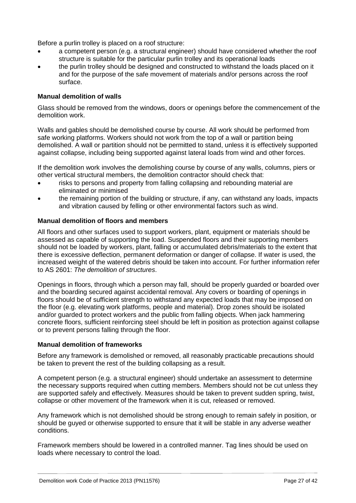Before a purlin trolley is placed on a roof structure:

- a competent person (e.g. a structural engineer) should have considered whether the roof structure is suitable for the particular purlin trolley and its operational loads
- the purlin trolley should be designed and constructed to withstand the loads placed on it and for the purpose of the safe movement of materials and/or persons across the roof surface.

### **Manual demolition of walls**

Glass should be removed from the windows, doors or openings before the commencement of the demolition work.

Walls and gables should be demolished course by course. All work should be performed from safe working platforms. Workers should not work from the top of a wall or partition being demolished. A wall or partition should not be permitted to stand, unless it is effectively supported against collapse, including being supported against lateral loads from wind and other forces.

If the demolition work involves the demolishing course by course of any walls, columns, piers or other vertical structural members, the demolition contractor should check that:

- risks to persons and property from falling collapsing and rebounding material are eliminated or minimised
- the remaining portion of the building or structure, if any, can withstand any loads, impacts and vibration caused by felling or other environmental factors such as wind.

### **Manual demolition of floors and members**

All floors and other surfaces used to support workers, plant, equipment or materials should be assessed as capable of supporting the load. Suspended floors and their supporting members should not be loaded by workers, plant, falling or accumulated debris/materials to the extent that there is excessive deflection, permanent deformation or danger of collapse. If water is used, the increased weight of the watered debris should be taken into account. For further information refer to AS 2601: *The demolition of structures*.

Openings in floors, through which a person may fall, should be properly guarded or boarded over and the boarding secured against accidental removal. Any covers or boarding of openings in floors should be of sufficient strength to withstand any expected loads that may be imposed on the floor (e.g. elevating work platforms, people and material). Drop zones should be isolated and/or guarded to protect workers and the public from falling objects. When jack hammering concrete floors, sufficient reinforcing steel should be left in position as protection against collapse or to prevent persons falling through the floor.

#### **Manual demolition of frameworks**

Before any framework is demolished or removed, all reasonably practicable precautions should be taken to prevent the rest of the building collapsing as a result.

A competent person (e.g. a structural engineer) should undertake an assessment to determine the necessary supports required when cutting members. Members should not be cut unless they are supported safely and effectively. Measures should be taken to prevent sudden spring, twist, collapse or other movement of the framework when it is cut, released or removed.

Any framework which is not demolished should be strong enough to remain safely in position, or should be guyed or otherwise supported to ensure that it will be stable in any adverse weather conditions.

Framework members should be lowered in a controlled manner. Tag lines should be used on loads where necessary to control the load.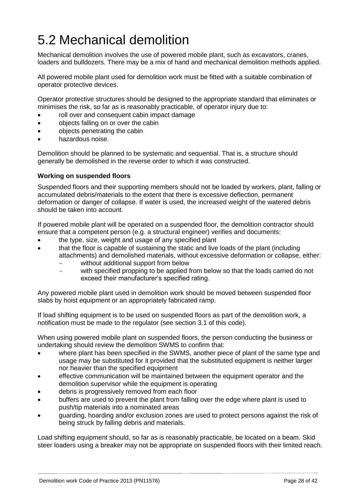# <span id="page-27-0"></span>5.2 Mechanical demolition

Mechanical demolition involves the use of powered mobile plant, such as excavators, cranes, loaders and bulldozers. There may be a mix of hand and mechanical demolition methods applied.

All powered mobile plant used for demolition work must be fitted with a suitable combination of operator protective devices.

Operator protective structures should be designed to the appropriate standard that eliminates or minimises the risk, so far as is reasonably practicable, of operator injury due to:

- roll over and consequent cabin impact damage
- objects falling on or over the cabin
- objects penetrating the cabin
- hazardous noise.

Demolition should be planned to be systematic and sequential. That is, a structure should generally be demolished in the reverse order to which it was constructed.

#### **Working on suspended floors**

Suspended floors and their supporting members should not be loaded by workers, plant, falling or accumulated debris/materials to the extent that there is excessive deflection, permanent deformation or danger of collapse. If water is used, the increased weight of the watered debris should be taken into account.

If powered mobile plant will be operated on a suspended floor, the demolition contractor should ensure that a competent person (e.g. a structural engineer) verifies and documents:

- the type, size, weight and usage of any specified plant
- that the floor is capable of sustaining the static and live loads of the plant (including attachments) and demolished materials, without excessive deformation or collapse, either:
	- without additional support from below
	- with specified propping to be applied from below so that the loads carried do not exceed their manufacturer's specified rating.

Any powered mobile plant used in demolition work should be moved between suspended floor slabs by hoist equipment or an appropriately fabricated ramp.

If load shifting equipment is to be used on suspended floors as part of the demolition work, a notification must be made to the regulator (see section 3.1 of this code).

When using powered mobile plant on suspended floors, the person conducting the business or undertaking should review the demolition SWMS to confirm that:

- where plant has been specified in the SWMS, another piece of plant of the same type and usage may be substituted for it provided that the substituted equipment is neither larger nor heavier than the specified equipment
- effective communication will be maintained between the equipment operator and the demolition supervisor while the equipment is operating
- debris is progressively removed from each floor
- buffers are used to prevent the plant from falling over the edge where plant is used to push/tip materials into a nominated areas
- guarding, hoarding and/or exclusion zones are used to protect persons against the risk of being struck by falling debris and materials.

Load shifting equipment should, so far as is reasonably practicable, be located on a beam. Skid steer loaders using a breaker may not be appropriate on suspended floors with their limited reach*.*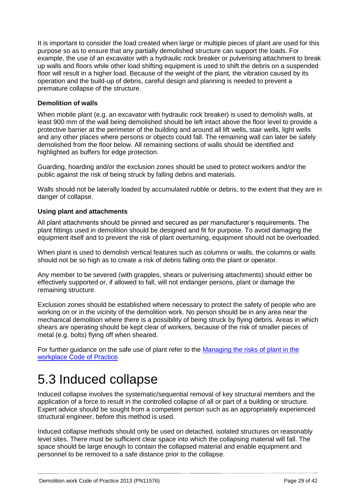It is important to consider the load created when large or multiple pieces of plant are used for this purpose so as to ensure that any partially demolished structure can support the loads. For example, the use of an excavator with a hydraulic rock breaker or pulverising attachment to break up walls and floors while other load shifting equipment is used to shift the debris on a suspended floor will result in a higher load. Because of the weight of the plant, the vibration caused by its operation and the build-up of debris, careful design and planning is needed to prevent a premature collapse of the structure.

### **Demolition of walls**

When mobile plant (e.g. an excavator with hydraulic rock breaker) is used to demolish walls, at least 900 mm of the wall being demolished should be left intact above the floor level to provide a protective barrier at the perimeter of the building and around all lift wells, stair wells, light wells and any other places where persons or objects could fall. The remaining wall can later be safely demolished from the floor below. All remaining sections of walls should be identified and highlighted as buffers for edge protection.

Guarding, hoarding and/or the exclusion zones should be used to protect workers and/or the public against the risk of being struck by falling debris and materials.

Walls should not be laterally loaded by accumulated rubble or debris, to the extent that they are in danger of collapse.

### **Using plant and attachments**

All plant attachments should be pinned and secured as per manufacturer's requirements. The plant fittings used in demolition should be designed and fit for purpose. To avoid damaging the equipment itself and to prevent the risk of plant overturning, equipment should not be overloaded.

When plant is used to demolish vertical features such as columns or walls, the columns or walls should not be so high as to create a risk of debris falling onto the plant or operator.

Any member to be severed (with grapples, shears or pulverising attachments) should either be effectively supported or, if allowed to fall, will not endanger persons, plant or damage the remaining structure.

Exclusion zones should be established where necessary to protect the safety of people who are working on or in the vicinity of the demolition work. No person should be in any area near the mechanical demolition where there is a possibility of being struck by flying debris. Areas in which shears are operating should be kept clear of workers, because of the risk of smaller pieces of metal (e.g. bolts) flying off when sheared.

For further guidance on the safe use of plant refer to the Managing the risks of plant in the workplace [Code of Practice](https://www.worksafe.qld.gov.au/__data/assets/pdf_file/0006/58173/Managing-risks-of-plant-COP-2013.pdf)*.*

### <span id="page-28-0"></span>5.3 Induced collapse

Induced collapse involves the systematic/sequential removal of key structural members and the application of a force to result in the controlled collapse of all or part of a building or structure. Expert advice should be sought from a competent person such as an appropriately experienced structural engineer, before this method is used.

Induced collapse methods should only be used on detached, isolated structures on reasonably level sites. There must be sufficient clear space into which the collapsing material will fall. The space should be large enough to contain the collapsed material and enable equipment and personnel to be removed to a safe distance prior to the collapse.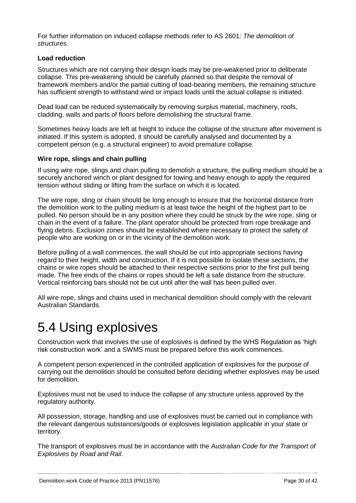For further information on induced collapse methods refer to AS 2601: *The demolition of structures.*

### **Load reduction**

Structures which are not carrying their design loads may be pre-weakened prior to deliberate collapse. This pre-weakening should be carefully planned so that despite the removal of framework members and/or the partial cutting of load-bearing members, the remaining structure has sufficient strength to withstand wind or impact loads until the actual collapse is initiated.

Dead load can be reduced systematically by removing surplus material, machinery, roofs, cladding, walls and parts of floors before demolishing the structural frame.

Sometimes heavy loads are left at height to induce the collapse of the structure after movement is initiated. If this system is adopted, it should be carefully analysed and documented by a competent person (e.g. a structural engineer) to avoid premature collapse.

### **Wire rope, slings and chain pulling**

If using wire rope, slings and chain pulling to demolish a structure, the pulling medium should be a securely anchored winch or plant designed for towing and heavy enough to apply the required tension without sliding or lifting from the surface on which it is located.

The wire rope, sling or chain should be long enough to ensure that the horizontal distance from the demolition work to the pulling medium is at least twice the height of the highest part to be pulled. No person should be in any position where they could be struck by the wire rope, sling or chain in the event of a failure. The plant operator should be protected from rope breakage and flying debris. Exclusion zones should be established where necessary to protect the safety of people who are working on or in the vicinity of the demolition work.

Before pulling of a wall commences, the wall should be cut into appropriate sections having regard to their height, width and construction. If it is not possible to isolate these sections, the chains or wire ropes should be attached to their respective sections prior to the first pull being made. The free ends of the chains or ropes should be left a safe distance from the structure. Vertical reinforcing bars should not be cut until after the wall has been pulled over.

All wire rope, slings and chains used in mechanical demolition should comply with the relevant Australian Standards.

### <span id="page-29-0"></span>5.4 Using explosives

Construction work that involves the use of explosives is defined by the WHS Regulation as 'high risk construction work' and a SWMS must be prepared before this work commences.

A competent person experienced in the controlled application of explosives for the purpose of carrying out the demolition should be consulted before deciding whether explosives may be used for demolition.

Explosives must not be used to induce the collapse of any structure unless approved by the regulatory authority.

All possession, storage, handling and use of explosives must be carried out in compliance with the relevant dangerous substances/goods or explosives legislation applicable in your state or territory.

The transport of explosives must be in accordance with the *Australian Code for the Transport of Explosives by Road and Rail.*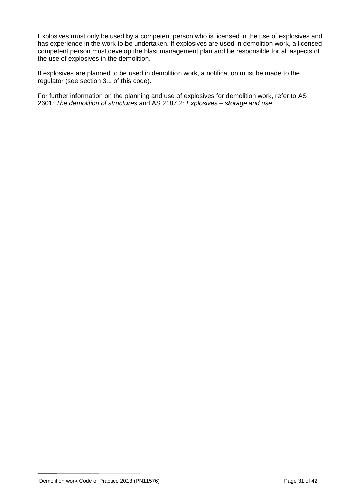Explosives must only be used by a competent person who is licensed in the use of explosives and has experience in the work to be undertaken. If explosives are used in demolition work, a licensed competent person must develop the blast management plan and be responsible for all aspects of the use of explosives in the demolition.

If explosives are planned to be used in demolition work, a notification must be made to the regulator (see section 3.1 of this code).

For further information on the planning and use of explosives for demolition work, refer to AS 2601: *The demolition of structures* and AS 2187.2: *Explosives – storage and use*.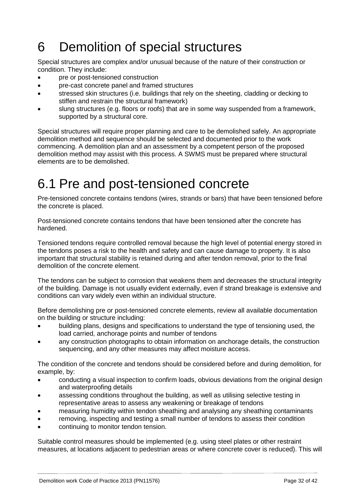# <span id="page-31-0"></span>6 Demolition of special structures

Special structures are complex and/or unusual because of the nature of their construction or condition. They include:

- pre or post-tensioned construction
- pre-cast concrete panel and framed structures
- stressed skin structures (i.e. buildings that rely on the sheeting, cladding or decking to stiffen and restrain the structural framework)
- slung structures (e.g. floors or roofs) that are in some way suspended from a framework, supported by a structural core.

Special structures will require proper planning and care to be demolished safely. An appropriate demolition method and sequence should be selected and documented prior to the work commencing. A demolition plan and an assessment by a competent person of the proposed demolition method may assist with this process. A SWMS must be prepared where structural elements are to be demolished.

### <span id="page-31-1"></span>6.1 Pre and post-tensioned concrete

Pre-tensioned concrete contains tendons (wires, strands or bars) that have been tensioned before the concrete is placed.

Post-tensioned concrete contains tendons that have been tensioned after the concrete has hardened.

Tensioned tendons require controlled removal because the high level of potential energy stored in the tendons poses a risk to the health and safety and can cause damage to property. It is also important that structural stability is retained during and after tendon removal, prior to the final demolition of the concrete element.

The tendons can be subject to corrosion that weakens them and decreases the structural integrity of the building. Damage is not usually evident externally, even if strand breakage is extensive and conditions can vary widely even within an individual structure.

Before demolishing pre or post-tensioned concrete elements, review all available documentation on the building or structure including:

- building plans, designs and specifications to understand the type of tensioning used, the load carried, anchorage points and number of tendons
- any construction photographs to obtain information on anchorage details, the construction sequencing, and any other measures may affect moisture access.

The condition of the concrete and tendons should be considered before and during demolition, for example, by:

- conducting a visual inspection to confirm loads, obvious deviations from the original design and waterproofing details
- assessing conditions throughout the building, as well as utilising selective testing in representative areas to assess any weakening or breakage of tendons
- measuring humidity within tendon sheathing and analysing any sheathing contaminants
- removing, inspecting and testing a small number of tendons to assess their condition
- continuing to monitor tendon tension.

Suitable control measures should be implemented (e.g. using steel plates or other restraint measures, at locations adjacent to pedestrian areas or where concrete cover is reduced). This will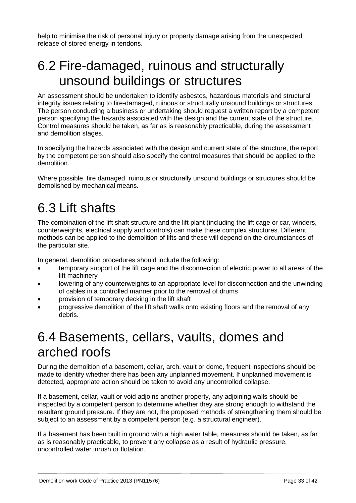help to minimise the risk of personal injury or property damage arising from the unexpected release of stored energy in tendons.

## <span id="page-32-0"></span>6.2 Fire-damaged, ruinous and structurally unsound buildings or structures

An assessment should be undertaken to identify asbestos, hazardous materials and structural integrity issues relating to fire-damaged, ruinous or structurally unsound buildings or structures. The person conducting a business or undertaking should request a written report by a competent person specifying the hazards associated with the design and the current state of the structure. Control measures should be taken, as far as is reasonably practicable, during the assessment and demolition stages.

In specifying the hazards associated with the design and current state of the structure, the report by the competent person should also specify the control measures that should be applied to the demolition.

Where possible, fire damaged, ruinous or structurally unsound buildings or structures should be demolished by mechanical means.

# <span id="page-32-1"></span>6.3 Lift shafts

The combination of the lift shaft structure and the lift plant (including the lift cage or car, winders, counterweights, electrical supply and controls) can make these complex structures. Different methods can be applied to the demolition of lifts and these will depend on the circumstances of the particular site.

In general, demolition procedures should include the following:

- temporary support of the lift cage and the disconnection of electric power to all areas of the lift machinery
- lowering of any counterweights to an appropriate level for disconnection and the unwinding of cables in a controlled manner prior to the removal of drums
- provision of temporary decking in the lift shaft
- progressive demolition of the lift shaft walls onto existing floors and the removal of any debris.

### <span id="page-32-2"></span>6.4 Basements, cellars, vaults, domes and arched roofs

During the demolition of a basement, cellar, arch, vault or dome, frequent inspections should be made to identify whether there has been any unplanned movement. If unplanned movement is detected, appropriate action should be taken to avoid any uncontrolled collapse.

If a basement, cellar, vault or void adjoins another property, any adjoining walls should be inspected by a competent person to determine whether they are strong enough to withstand the resultant ground pressure. If they are not, the proposed methods of strengthening them should be subject to an assessment by a competent person (e.g. a structural engineer).

If a basement has been built in ground with a high water table, measures should be taken, as far as is reasonably practicable, to prevent any collapse as a result of hydraulic pressure, uncontrolled water inrush or flotation.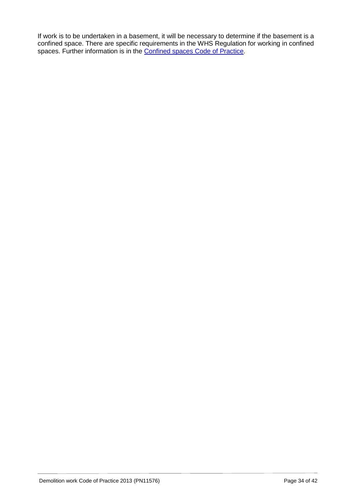If work is to be undertaken in a basement, it will be necessary to determine if the basement is a confined space. There are specific requirements in the WHS Regulation for working in confined spaces. Further information is in the **Confined spaces Code of Practice**.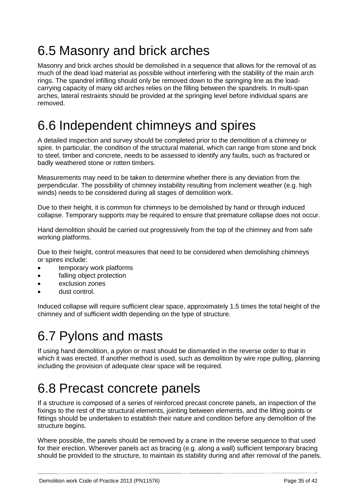# <span id="page-34-0"></span>6.5 Masonry and brick arches

Masonry and brick arches should be demolished in a sequence that allows for the removal of as much of the dead load material as possible without interfering with the stability of the main arch rings. The spandrel infilling should only be removed down to the springing line as the loadcarrying capacity of many old arches relies on the filling between the spandrels. In multi-span arches, lateral restraints should be provided at the springing level before individual spans are removed.

### <span id="page-34-1"></span>6.6 Independent chimneys and spires

A detailed inspection and survey should be completed prior to the demolition of a chimney or spire. In particular, the condition of the structural material, which can range from stone and brick to steel, timber and concrete, needs to be assessed to identify any faults, such as fractured or badly weathered stone or rotten timbers.

Measurements may need to be taken to determine whether there is any deviation from the perpendicular. The possibility of chimney instability resulting from inclement weather (e.g. high winds) needs to be considered during all stages of demolition work.

Due to their height, it is common for chimneys to be demolished by hand or through induced collapse. Temporary supports may be required to ensure that premature collapse does not occur.

Hand demolition should be carried out progressively from the top of the chimney and from safe working platforms.

Due to their height, control measures that need to be considered when demolishing chimneys or spires include:

- temporary work platforms
- falling object protection
- exclusion zones
- dust control.

Induced collapse will require sufficient clear space, approximately 1.5 times the total height of the chimney and of sufficient width depending on the type of structure.

# <span id="page-34-2"></span>6.7 Pylons and masts

If using hand demolition, a pylon or mast should be dismantled in the reverse order to that in which it was erected. If another method is used, such as demolition by wire rope pulling, planning including the provision of adequate clear space will be required.

## <span id="page-34-3"></span>6.8 Precast concrete panels

If a structure is composed of a series of reinforced precast concrete panels, an inspection of the fixings to the rest of the structural elements, jointing between elements, and the lifting points or fittings should be undertaken to establish their nature and condition before any demolition of the structure begins.

Where possible, the panels should be removed by a crane in the reverse sequence to that used for their erection. Wherever panels act as bracing (e.g. along a wall) sufficient temporary bracing should be provided to the structure, to maintain its stability during and after removal of the panels.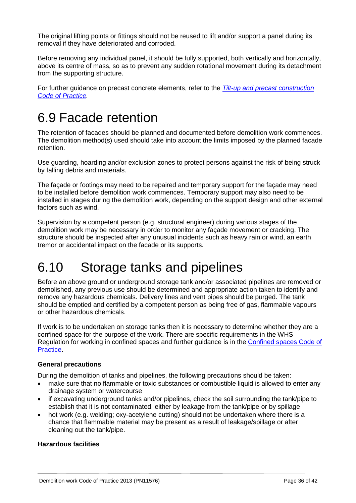The original lifting points or fittings should not be reused to lift and/or support a panel during its removal if they have deteriorated and corroded.

Before removing any individual panel, it should be fully supported, both vertically and horizontally, above its centre of mass, so as to prevent any sudden rotational movement during its detachment from the supporting structure.

For further guidance on precast concrete elements, refer to the *Tilt-up [and precast construction](https://www.worksafe.qld.gov.au/__data/assets/pdf_file/0015/58200/tilt-up-pre-cast-cop-2003.pdf)  [Code of Practice.](https://www.worksafe.qld.gov.au/__data/assets/pdf_file/0015/58200/tilt-up-pre-cast-cop-2003.pdf)*

### <span id="page-35-0"></span>6.9 Facade retention

The retention of facades should be planned and documented before demolition work commences. The demolition method(s) used should take into account the limits imposed by the planned facade retention.

Use guarding, hoarding and/or exclusion zones to protect persons against the risk of being struck by falling debris and materials.

The façade or footings may need to be repaired and temporary support for the façade may need to be installed before demolition work commences. Temporary support may also need to be installed in stages during the demolition work, depending on the support design and other external factors such as wind.

Supervision by a competent person (e.g. structural engineer) during various stages of the demolition work may be necessary in order to monitor any façade movement or cracking. The structure should be inspected after any unusual incidents such as heavy rain or wind, an earth tremor or accidental impact on the facade or its supports.

## <span id="page-35-1"></span>6.10 Storage tanks and pipelines

Before an above ground or underground storage tank and/or associated pipelines are removed or demolished, any previous use should be determined and appropriate action taken to identify and remove any hazardous chemicals. Delivery lines and vent pipes should be purged. The tank should be emptied and certified by a competent person as being free of gas, flammable vapours or other hazardous chemicals.

If work is to be undertaken on storage tanks then it is necessary to determine whether they are a confined space for the purpose of the work. There are specific requirements in the WHS Regulation for working in confined spaces and further guidance is in the [Confined spaces](https://www.worksafe.qld.gov.au/__data/assets/pdf_file/0010/58159/Confined-spaces-COP-2011.pdf) Code of [Practice.](https://www.worksafe.qld.gov.au/__data/assets/pdf_file/0010/58159/Confined-spaces-COP-2011.pdf)

### **General precautions**

During the demolition of tanks and pipelines, the following precautions should be taken:

- make sure that no flammable or toxic substances or combustible liquid is allowed to enter any drainage system or watercourse
- if excavating underground tanks and/or pipelines, check the soil surrounding the tank/pipe to establish that it is not contaminated, either by leakage from the tank/pipe or by spillage
- hot work (e.g. welding; oxy-acetylene cutting) should not be undertaken where there is a chance that flammable material may be present as a result of leakage/spillage or after cleaning out the tank/pipe.

### **Hazardous facilities**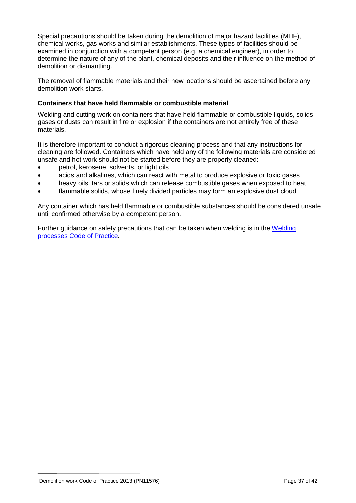Special precautions should be taken during the demolition of major hazard facilities (MHF), chemical works, gas works and similar establishments. These types of facilities should be examined in conjunction with a competent person (e.g. a chemical engineer), in order to determine the nature of any of the plant, chemical deposits and their influence on the method of demolition or dismantling.

The removal of flammable materials and their new locations should be ascertained before any demolition work starts.

### **Containers that have held flammable or combustible material**

Welding and cutting work on containers that have held flammable or combustible liquids, solids, gases or dusts can result in fire or explosion if the containers are not entirely free of these materials.

It is therefore important to conduct a rigorous cleaning process and that any instructions for cleaning are followed. Containers which have held any of the following materials are considered unsafe and hot work should not be started before they are properly cleaned:

- petrol, kerosene, solvents, or light oils
- acids and alkalines, which can react with metal to produce explosive or toxic gases
- heavy oils, tars or solids which can release combustible gases when exposed to heat
- flammable solids, whose finely divided particles may form an explosive dust cloud.

Any container which has held flammable or combustible substances should be considered unsafe until confirmed otherwise by a competent person.

Further guidance on safety precautions that can be taken when welding is in the [Welding](https://www.worksafe.qld.gov.au/__data/assets/pdf_file/0019/58204/welding-processes-cop-2013.pdf) processes [Code of Practice](https://www.worksafe.qld.gov.au/__data/assets/pdf_file/0019/58204/welding-processes-cop-2013.pdf)*.*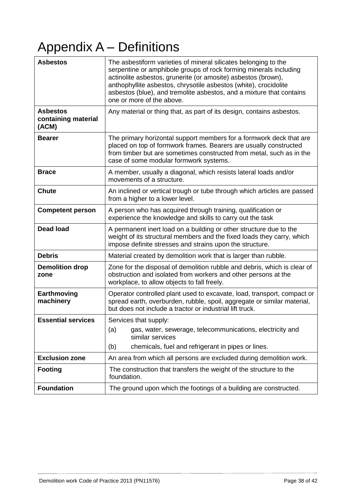# <span id="page-37-0"></span>Appendix A – Definitions

| <b>Asbestos</b>                                 | The asbestiform varieties of mineral silicates belonging to the<br>serpentine or amphibole groups of rock forming minerals including<br>actinolite asbestos, grunerite (or amosite) asbestos (brown),<br>anthophyllite asbestos, chrysotile asbestos (white), crocidolite<br>asbestos (blue), and tremolite asbestos, and a mixture that contains<br>one or more of the above. |
|-------------------------------------------------|--------------------------------------------------------------------------------------------------------------------------------------------------------------------------------------------------------------------------------------------------------------------------------------------------------------------------------------------------------------------------------|
| <b>Asbestos</b><br>containing material<br>(ACM) | Any material or thing that, as part of its design, contains asbestos.                                                                                                                                                                                                                                                                                                          |
| <b>Bearer</b>                                   | The primary horizontal support members for a formwork deck that are<br>placed on top of formwork frames. Bearers are usually constructed<br>from timber but are sometimes constructed from metal, such as in the<br>case of some modular formwork systems.                                                                                                                     |
| <b>Brace</b>                                    | A member, usually a diagonal, which resists lateral loads and/or<br>movements of a structure.                                                                                                                                                                                                                                                                                  |
| <b>Chute</b>                                    | An inclined or vertical trough or tube through which articles are passed<br>from a higher to a lower level.                                                                                                                                                                                                                                                                    |
| <b>Competent person</b>                         | A person who has acquired through training, qualification or<br>experience the knowledge and skills to carry out the task                                                                                                                                                                                                                                                      |
| <b>Dead load</b>                                | A permanent inert load on a building or other structure due to the<br>weight of its structural members and the fixed loads they carry, which<br>impose definite stresses and strains upon the structure.                                                                                                                                                                       |
| <b>Debris</b>                                   | Material created by demolition work that is larger than rubble.                                                                                                                                                                                                                                                                                                                |
| <b>Demolition drop</b><br>zone                  | Zone for the disposal of demolition rubble and debris, which is clear of<br>obstruction and isolated from workers and other persons at the<br>workplace, to allow objects to fall freely.                                                                                                                                                                                      |
| Earthmoving<br>machinery                        | Operator controlled plant used to excavate, load, transport, compact or<br>spread earth, overburden, rubble, spoil, aggregate or similar material,<br>but does not include a tractor or industrial lift truck.                                                                                                                                                                 |
| <b>Essential services</b>                       | Services that supply:<br>gas, water, sewerage, telecommunications, electricity and<br>(a)<br>similar services<br>chemicals, fuel and refrigerant in pipes or lines.<br>(b)                                                                                                                                                                                                     |
| <b>Exclusion zone</b>                           | An area from which all persons are excluded during demolition work.                                                                                                                                                                                                                                                                                                            |
| <b>Footing</b>                                  | The construction that transfers the weight of the structure to the<br>foundation.                                                                                                                                                                                                                                                                                              |
| <b>Foundation</b>                               | The ground upon which the footings of a building are constructed.                                                                                                                                                                                                                                                                                                              |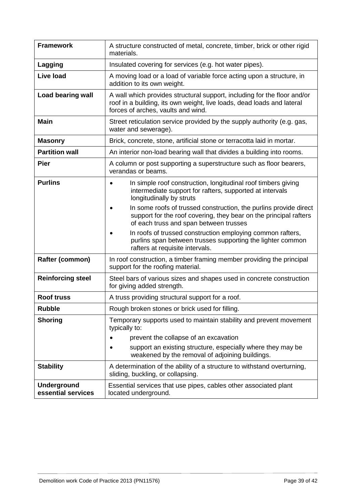| <b>Framework</b>                         | A structure constructed of metal, concrete, timber, brick or other rigid<br>materials.                                                                                                        |
|------------------------------------------|-----------------------------------------------------------------------------------------------------------------------------------------------------------------------------------------------|
| Lagging                                  | Insulated covering for services (e.g. hot water pipes).                                                                                                                                       |
| <b>Live load</b>                         | A moving load or a load of variable force acting upon a structure, in<br>addition to its own weight.                                                                                          |
| <b>Load bearing wall</b>                 | A wall which provides structural support, including for the floor and/or<br>roof in a building, its own weight, live loads, dead loads and lateral<br>forces of arches, vaults and wind.      |
| <b>Main</b>                              | Street reticulation service provided by the supply authority (e.g. gas,<br>water and sewerage).                                                                                               |
| <b>Masonry</b>                           | Brick, concrete, stone, artificial stone or terracotta laid in mortar.                                                                                                                        |
| <b>Partition wall</b>                    | An interior non-load bearing wall that divides a building into rooms.                                                                                                                         |
| <b>Pier</b>                              | A column or post supporting a superstructure such as floor bearers,<br>verandas or beams.                                                                                                     |
| <b>Purlins</b>                           | In simple roof construction, longitudinal roof timbers giving<br>$\bullet$<br>intermediate support for rafters, supported at intervals<br>longitudinally by struts                            |
|                                          | In some roofs of trussed construction, the purlins provide direct<br>$\bullet$<br>support for the roof covering, they bear on the principal rafters<br>of each truss and span between trusses |
|                                          | In roofs of trussed construction employing common rafters,<br>purlins span between trusses supporting the lighter common<br>rafters at requisite intervals.                                   |
| Rafter (common)                          | In roof construction, a timber framing member providing the principal<br>support for the roofing material.                                                                                    |
| <b>Reinforcing steel</b>                 | Steel bars of various sizes and shapes used in concrete construction<br>for giving added strength.                                                                                            |
| <b>Roof truss</b>                        | A truss providing structural support for a roof.                                                                                                                                              |
| <b>Rubble</b>                            | Rough broken stones or brick used for filling.                                                                                                                                                |
| <b>Shoring</b>                           | Temporary supports used to maintain stability and prevent movement<br>typically to:                                                                                                           |
|                                          | prevent the collapse of an excavation<br>٠                                                                                                                                                    |
|                                          | support an existing structure, especially where they may be<br>weakened by the removal of adjoining buildings.                                                                                |
| <b>Stability</b>                         | A determination of the ability of a structure to withstand overturning,<br>sliding, buckling, or collapsing.                                                                                  |
| <b>Underground</b><br>essential services | Essential services that use pipes, cables other associated plant<br>located underground.                                                                                                      |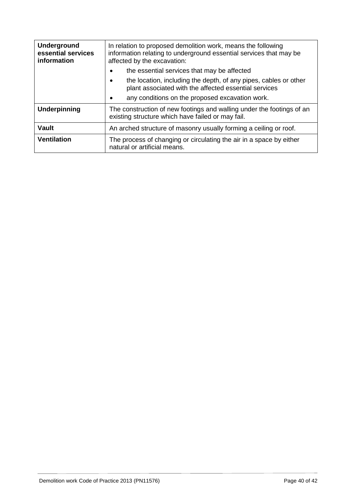| <b>Underground</b><br>essential services<br>information | In relation to proposed demolition work, means the following<br>information relating to underground essential services that may be<br>affected by the excavation: |
|---------------------------------------------------------|-------------------------------------------------------------------------------------------------------------------------------------------------------------------|
|                                                         | the essential services that may be affected<br>$\bullet$                                                                                                          |
|                                                         | the location, including the depth, of any pipes, cables or other<br>$\bullet$<br>plant associated with the affected essential services                            |
|                                                         | any conditions on the proposed excavation work.<br>٠                                                                                                              |
| Underpinning                                            | The construction of new footings and walling under the footings of an<br>existing structure which have failed or may fail.                                        |
| <b>Vault</b>                                            | An arched structure of masonry usually forming a ceiling or roof.                                                                                                 |
| <b>Ventilation</b>                                      | The process of changing or circulating the air in a space by either<br>natural or artificial means.                                                               |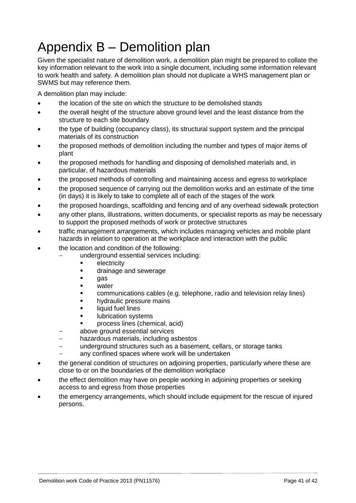# <span id="page-40-0"></span>Appendix B – Demolition plan

Given the specialist nature of demolition work, a demolition plan might be prepared to collate the key information relevant to the work into a single document, including some information relevant to work health and safety. A demolition plan should not duplicate a WHS management plan or SWMS but may reference them.

A demolition plan may include:

- the location of the site on which the structure to be demolished stands
- the overall height of the structure above ground level and the least distance from the structure to each site boundary
- the type of building (occupancy class), its structural support system and the principal materials of its construction
- the proposed methods of demolition including the number and types of major items of plant
- the proposed methods for handling and disposing of demolished materials and, in particular, of hazardous materials
- the proposed methods of controlling and maintaining access and egress to workplace
- the proposed sequence of carrying out the demolition works and an estimate of the time (in days) it is likely to take to complete all of each of the stages of the work
- the proposed hoardings, scaffolding and fencing and of any overhead sidewalk protection
- any other plans, illustrations, written documents, or specialist reports as may be necessary to support the proposed methods of work or protective structures
- traffic management arrangements, which includes managing vehicles and mobile plant hazards in relation to operation at the workplace and interaction with the public
- the location and condition of the following:
	- underground essential services including:
		- **Exercic**ty
		- **drainage and sewerage**
		- **gas**
		- water
		- communications cables (e.g. telephone, radio and television relay lines)
		- **•** hydraulic pressure mains
		- **Example 1** liquid fuel lines
		- **ubrication systems**
		- process lines (chemical, acid)
		- above ground essential services
	- hazardous materials, including asbestos
	- underground structures such as a basement, cellars, or storage tanks
	- any confined spaces where work will be undertaken
- the general condition of structures on adjoining properties, particularly where these are close to or on the boundaries of the demolition workplace
- the effect demolition may have on people working in adjoining properties or seeking access to and egress from those properties
- the emergency arrangements, which should include equipment for the rescue of injured persons.